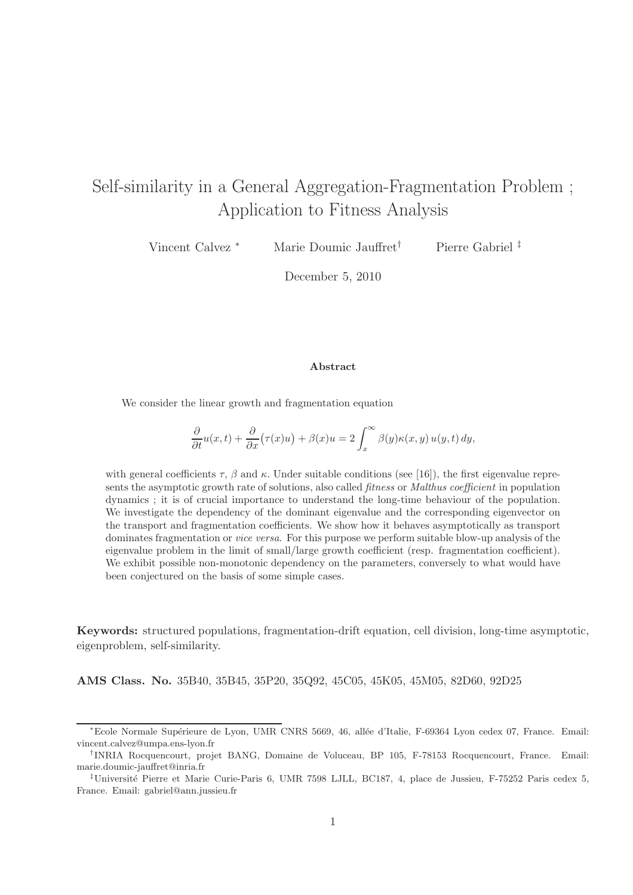# Self-similarity in a General Aggregation-Fragmentation Problem ; Application to Fitness Analysis

Vincent Calvez <sup>∗</sup> Marie Doumic Jauffret† Pierre Gabriel ‡

December 5, 2010

#### Abstract

We consider the linear growth and fragmentation equation

$$
\frac{\partial}{\partial t}u(x,t) + \frac{\partial}{\partial x}(\tau(x)u) + \beta(x)u = 2\int_x^\infty \beta(y)\kappa(x,y) u(y,t) dy,
$$

with general coefficients  $\tau$ ,  $\beta$  and  $\kappa$ . Under suitable conditions (see [16]), the first eigenvalue represents the asymptotic growth rate of solutions, also called *fitness* or *Malthus coefficient* in population dynamics ; it is of crucial importance to understand the long-time behaviour of the population. We investigate the dependency of the dominant eigenvalue and the corresponding eigenvector on the transport and fragmentation coefficients. We show how it behaves asymptotically as transport dominates fragmentation or *vice versa*. For this purpose we perform suitable blow-up analysis of the eigenvalue problem in the limit of small/large growth coefficient (resp. fragmentation coefficient). We exhibit possible non-monotonic dependency on the parameters, conversely to what would have been conjectured on the basis of some simple cases.

Keywords: structured populations, fragmentation-drift equation, cell division, long-time asymptotic, eigenproblem, self-similarity.

AMS Class. No. 35B40, 35B45, 35P20, 35Q92, 45C05, 45K05, 45M05, 82D60, 92D25

<sup>\*</sup>Ecole Normale Supérieure de Lyon, UMR CNRS 5669, 46, allée d'Italie, F-69364 Lyon cedex 07, France. Email: vincent.calvez@umpa.ens-lyon.fr

<sup>†</sup> INRIA Rocquencourt, projet BANG, Domaine de Voluceau, BP 105, F-78153 Rocquencourt, France. Email: marie.doumic-jauffret@inria.fr

<sup>‡</sup>Universit´e Pierre et Marie Curie-Paris 6, UMR 7598 LJLL, BC187, 4, place de Jussieu, F-75252 Paris cedex 5, France. Email: gabriel@ann.jussieu.fr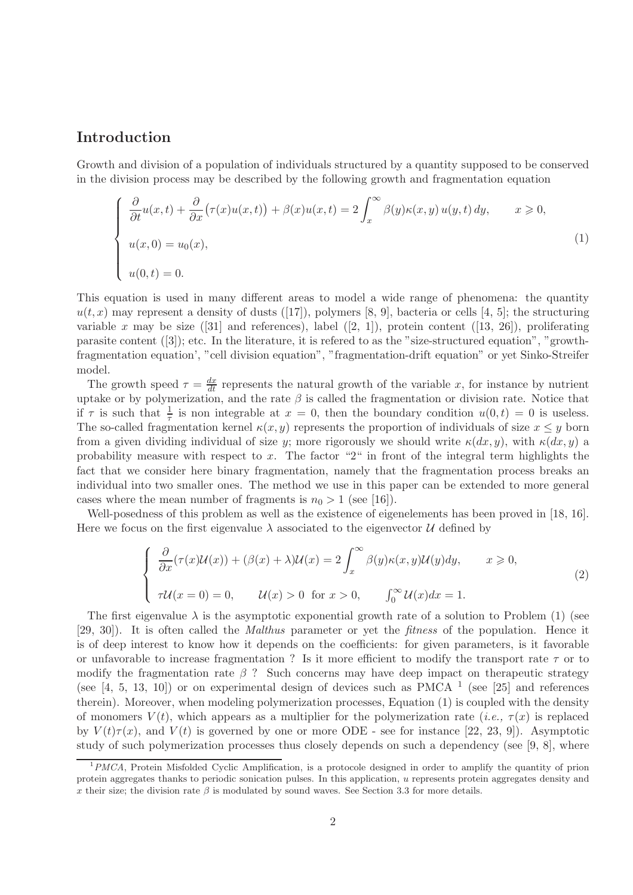# Introduction

Growth and division of a population of individuals structured by a quantity supposed to be conserved in the division process may be described by the following growth and fragmentation equation

$$
\begin{cases}\n\frac{\partial}{\partial t}u(x,t) + \frac{\partial}{\partial x}(\tau(x)u(x,t)) + \beta(x)u(x,t) = 2\int_x^\infty \beta(y)\kappa(x,y)u(y,t) dy, & x \ge 0, \\
u(x,0) = u_0(x), \\
u(0,t) = 0.\n\end{cases}
$$
\n(1)

This equation is used in many different areas to model a wide range of phenomena: the quantity  $u(t, x)$  may represent a density of dusts ([17]), polymers [8, 9], bacteria or cells [4, 5]; the structuring variable x may be size  $([31]$  and references), label  $([2, 1])$ , protein content  $([13, 26])$ , proliferating parasite content ([3]); etc. In the literature, it is refered to as the "size-structured equation", "growthfragmentation equation', "cell division equation", "fragmentation-drift equation" or yet Sinko-Streifer model.

The growth speed  $\tau = \frac{dx}{dt}$  represents the natural growth of the variable x, for instance by nutrient uptake or by polymerization, and the rate  $\beta$  is called the fragmentation or division rate. Notice that if  $\tau$  is such that  $\frac{1}{\tau}$  is non integrable at  $x = 0$ , then the boundary condition  $u(0, t) = 0$  is useless. The so-called fragmentation kernel  $\kappa(x, y)$  represents the proportion of individuals of size  $x \leq y$  born from a given dividing individual of size y; more rigorously we should write  $\kappa(dx, y)$ , with  $\kappa(dx, y)$  a probability measure with respect to x. The factor "2" in front of the integral term highlights the fact that we consider here binary fragmentation, namely that the fragmentation process breaks an individual into two smaller ones. The method we use in this paper can be extended to more general cases where the mean number of fragments is  $n_0 > 1$  (see [16]).

Well-posedness of this problem as well as the existence of eigenelements has been proved in [18, 16]. Here we focus on the first eigenvalue  $\lambda$  associated to the eigenvector  $\mathcal U$  defined by

$$
\begin{cases}\n\frac{\partial}{\partial x}(\tau(x)U(x)) + (\beta(x) + \lambda)U(x) = 2\int_x^\infty \beta(y)\kappa(x,y)U(y)dy, & x \ge 0, \\
\tau U(x = 0) = 0, & U(x) > 0 \text{ for } x > 0, \qquad \int_0^\infty U(x)dx = 1.\n\end{cases}
$$
\n(2)

The first eigenvalue  $\lambda$  is the asymptotic exponential growth rate of a solution to Problem (1) (see [29, 30]). It is often called the Malthus parameter or yet the fitness of the population. Hence it is of deep interest to know how it depends on the coefficients: for given parameters, is it favorable or unfavorable to increase fragmentation ? Is it more efficient to modify the transport rate  $\tau$  or to modify the fragmentation rate  $\beta$ ? Such concerns may have deep impact on therapeutic strategy (see  $[4, 5, 13, 10]$ ) or on experimental design of devices such as PMCA  $^1$  (see  $[25]$  and references therein). Moreover, when modeling polymerization processes, Equation (1) is coupled with the density of monomers  $V(t)$ , which appears as a multiplier for the polymerization rate (*i.e.*,  $\tau(x)$  is replaced by  $V(t)\tau(x)$ , and  $V(t)$  is governed by one or more ODE - see for instance [22, 23, 9]). Asymptotic study of such polymerization processes thus closely depends on such a dependency (see [9, 8], where

 $1PMCA$ , Protein Misfolded Cyclic Amplification, is a protocole designed in order to amplify the quantity of prion protein aggregates thanks to periodic sonication pulses. In this application,  $u$  represents protein aggregates density and x their size; the division rate  $\beta$  is modulated by sound waves. See Section 3.3 for more details.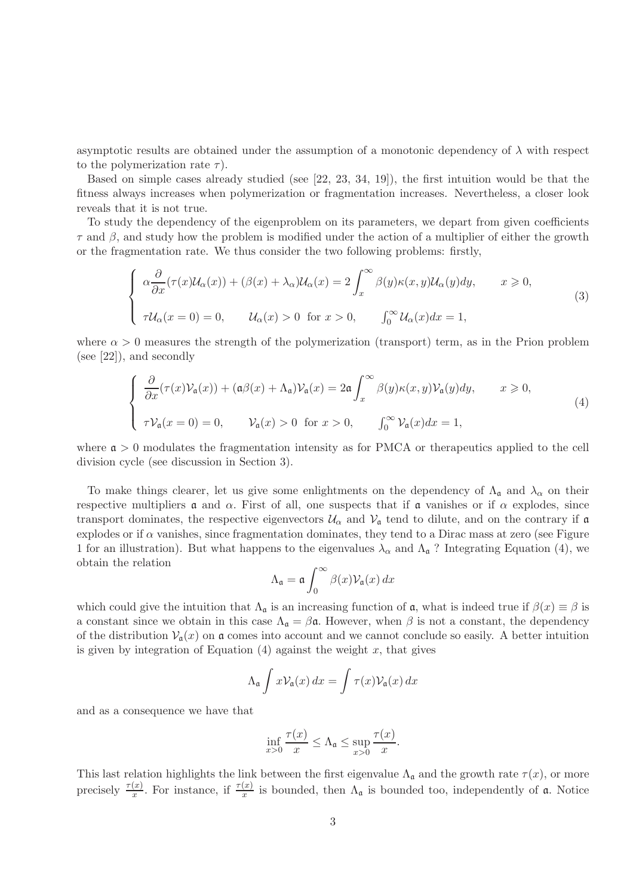asymptotic results are obtained under the assumption of a monotonic dependency of  $\lambda$  with respect to the polymerization rate  $\tau$ ).

Based on simple cases already studied (see [22, 23, 34, 19]), the first intuition would be that the fitness always increases when polymerization or fragmentation increases. Nevertheless, a closer look reveals that it is not true.

To study the dependency of the eigenproblem on its parameters, we depart from given coefficients  $\tau$  and  $\beta$ , and study how the problem is modified under the action of a multiplier of either the growth or the fragmentation rate. We thus consider the two following problems: firstly,

$$
\begin{cases}\n\alpha \frac{\partial}{\partial x} (\tau(x) \mathcal{U}_{\alpha}(x)) + (\beta(x) + \lambda_{\alpha}) \mathcal{U}_{\alpha}(x) = 2 \int_{x}^{\infty} \beta(y) \kappa(x, y) \mathcal{U}_{\alpha}(y) dy, & x \ge 0, \\
\tau \mathcal{U}_{\alpha}(x = 0) = 0, & \mathcal{U}_{\alpha}(x) > 0 \text{ for } x > 0, \qquad \int_{0}^{\infty} \mathcal{U}_{\alpha}(x) dx = 1,\n\end{cases}
$$
\n(3)

where  $\alpha > 0$  measures the strength of the polymerization (transport) term, as in the Prion problem (see [22]), and secondly

$$
\begin{cases}\n\frac{\partial}{\partial x}(\tau(x)\mathcal{V}_{\mathfrak{a}}(x)) + (\mathfrak{a}\beta(x) + \Lambda_{\mathfrak{a}})\mathcal{V}_{\mathfrak{a}}(x) = 2\mathfrak{a} \int_{x}^{\infty} \beta(y)\kappa(x,y)\mathcal{V}_{\mathfrak{a}}(y)dy, \quad x \geq 0, \\
\tau\mathcal{V}_{\mathfrak{a}}(x=0) = 0, \quad \mathcal{V}_{\mathfrak{a}}(x) > 0 \quad \text{for } x > 0, \quad \int_{0}^{\infty} \mathcal{V}_{\mathfrak{a}}(x)dx = 1,\n\end{cases}
$$
\n(4)

where  $\alpha > 0$  modulates the fragmentation intensity as for PMCA or therapeutics applied to the cell division cycle (see discussion in Section 3).

To make things clearer, let us give some enlightments on the dependency of  $\Lambda_{\mathfrak{a}}$  and  $\lambda_{\alpha}$  on their respective multipliers  $\alpha$  and  $\alpha$ . First of all, one suspects that if  $\alpha$  vanishes or if  $\alpha$  explodes, since transport dominates, the respective eigenvectors  $U_{\alpha}$  and  $V_{\alpha}$  tend to dilute, and on the contrary if  $\alpha$ explodes or if  $\alpha$  vanishes, since fragmentation dominates, they tend to a Dirac mass at zero (see Figure 1 for an illustration). But what happens to the eigenvalues  $\lambda_{\alpha}$  and  $\Lambda_{\mathfrak{a}}$ ? Integrating Equation (4), we obtain the relation

$$
\Lambda_{\mathfrak{a}} = \mathfrak{a} \int_0^\infty \beta(x) \mathcal{V}_{\mathfrak{a}}(x) \, dx
$$

which could give the intuition that  $\Lambda_{\mathfrak{a}}$  is an increasing function of  $\mathfrak{a}$ , what is indeed true if  $\beta(x) \equiv \beta$  is a constant since we obtain in this case  $\Lambda_{\mathfrak{a}} = \beta \mathfrak{a}$ . However, when  $\beta$  is not a constant, the dependency of the distribution  $\mathcal{V}_n(x)$  on a comes into account and we cannot conclude so easily. A better intuition is given by integration of Equation  $(4)$  against the weight x, that gives

$$
\Lambda_{\mathfrak{a}} \int x \mathcal{V}_{\mathfrak{a}}(x) dx = \int \tau(x) \mathcal{V}_{\mathfrak{a}}(x) dx
$$

and as a consequence we have that

$$
\inf_{x>0} \frac{\tau(x)}{x} \le \Lambda_{\mathfrak{a}} \le \sup_{x>0} \frac{\tau(x)}{x}.
$$

This last relation highlights the link between the first eigenvalue  $\Lambda_{\mathfrak{a}}$  and the growth rate  $\tau(x)$ , or more precisely  $\frac{\tau(x)}{x}$ . For instance, if  $\frac{\tau(x)}{x}$  is bounded, then  $\Lambda_{\mathfrak{a}}$  is bounded too, independently of  $\mathfrak{a}$ . Notice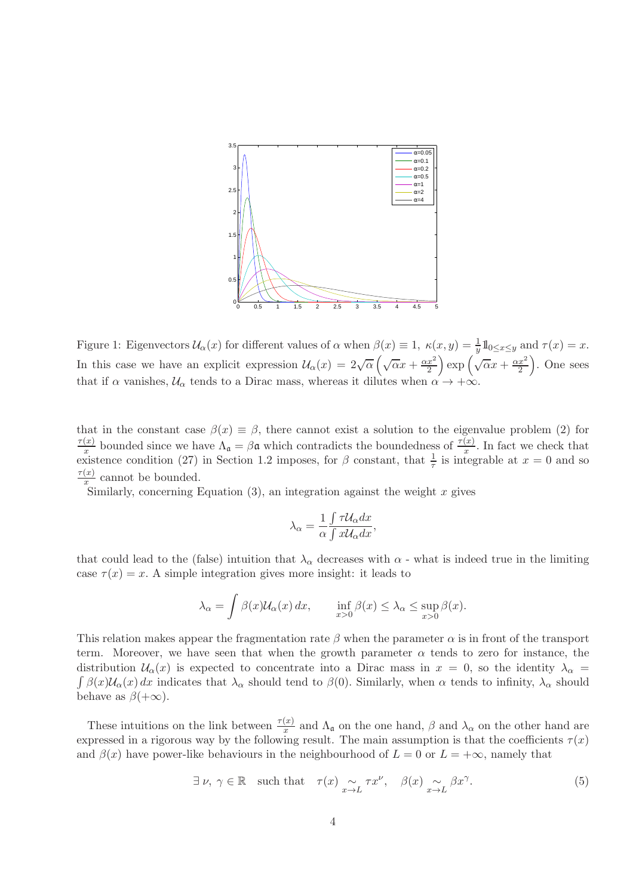

Figure 1: Eigenvectors  $\mathcal{U}_{\alpha}(x)$  for different values of  $\alpha$  when  $\beta(x) \equiv 1$ ,  $\kappa(x, y) = \frac{1}{y} 1\!\!\!\;1_{0 \leq x \leq y}$  and  $\tau(x) = x$ . In this case we have an explicit expression  $\mathcal{U}_{\alpha}(x) = 2\sqrt{\alpha} \left( \sqrt{\alpha} x + \frac{\alpha x^2}{2} \right)$ 2  $\cos\left(\sqrt{\alpha}x + \frac{\alpha x^2}{2}\right)$ 2 . One sees that if  $\alpha$  vanishes,  $\mathcal{U}_{\alpha}$  tends to a Dirac mass, whereas it dilutes when  $\alpha \to +\infty$ .

that in the constant case  $\beta(x) \equiv \beta$ , there cannot exist a solution to the eigenvalue problem (2) for  $\tau(x)$  $\frac{f(x)}{x}$  bounded since we have  $\Lambda_{\mathfrak{a}} = \beta \mathfrak{a}$  which contradicts the boundedness of  $\frac{\tau(x)}{x}$ . In fact we check that existence condition (27) in Section 1.2 imposes, for  $\beta$  constant, that  $\frac{1}{\tau}$  is integrable at  $x = 0$  and so  $\tau(x)$  $\frac{f(x)}{x}$  cannot be bounded.

Similarly, concerning Equation  $(3)$ , an integration against the weight x gives

$$
\lambda_{\alpha} = \frac{1}{\alpha} \frac{\int \tau \mathcal{U}_{\alpha} dx}{\int x \mathcal{U}_{\alpha} dx},
$$

that could lead to the (false) intuition that  $\lambda_{\alpha}$  decreases with  $\alpha$  - what is indeed true in the limiting case  $\tau(x) = x$ . A simple integration gives more insight: it leads to

$$
\lambda_{\alpha} = \int \beta(x) \mathcal{U}_{\alpha}(x) dx, \quad \inf_{x>0} \beta(x) \leq \lambda_{\alpha} \leq \sup_{x>0} \beta(x).
$$

This relation makes appear the fragmentation rate  $\beta$  when the parameter  $\alpha$  is in front of the transport term. Moreover, we have seen that when the growth parameter  $\alpha$  tends to zero for instance, the distribution  $\mathcal{U}_{\alpha}(x)$  is expected to concentrate into a Dirac mass in  $x = 0$ , so the identity  $\lambda_{\alpha} = \int \beta(x)\mathcal{U}_{\alpha}(x) dx$  indicates that  $\lambda_{\alpha}$  should tend to  $\beta(0)$ . Similarly, when  $\alpha$  tends to infinity,  $\lambda_{\alpha}$ behave as  $\beta(+\infty)$ .

These intuitions on the link between  $\frac{\tau(x)}{x}$  and  $\Lambda_{\mathfrak{a}}$  on the one hand,  $\beta$  and  $\lambda_{\alpha}$  on the other hand are expressed in a rigorous way by the following result. The main assumption is that the coefficients  $\tau(x)$ and  $\beta(x)$  have power-like behaviours in the neighbourhood of  $L = 0$  or  $L = +\infty$ , namely that

$$
\exists \nu, \gamma \in \mathbb{R} \quad \text{such that} \quad \tau(x) \underset{x \to L}{\sim} \tau x^{\nu}, \quad \beta(x) \underset{x \to L}{\sim} \beta x^{\gamma}.
$$
 (5)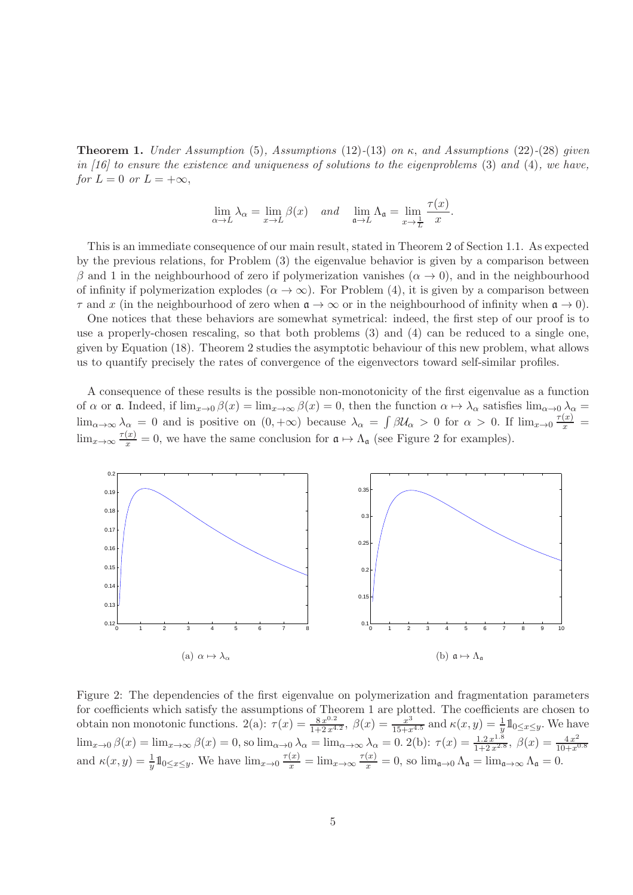**Theorem 1.** Under Assumption (5), Assumptions (12)-(13) on  $\kappa$ , and Assumptions (22)-(28) given in [16] to ensure the existence and uniqueness of solutions to the eigenproblems  $(3)$  and  $(4)$ , we have, for  $L = 0$  or  $L = +\infty$ ,

$$
\lim_{\alpha \to L} \lambda_{\alpha} = \lim_{x \to L} \beta(x) \quad \text{and} \quad \lim_{\mathfrak{a} \to L} \Lambda_{\mathfrak{a}} = \lim_{x \to \frac{1}{L}} \frac{\tau(x)}{x}.
$$

This is an immediate consequence of our main result, stated in Theorem 2 of Section 1.1. As expected by the previous relations, for Problem (3) the eigenvalue behavior is given by a comparison between β and 1 in the neighbourhood of zero if polymerization vanishes  $(α → 0)$ , and in the neighbourhood of infinity if polymerization explodes  $(\alpha \to \infty)$ . For Problem (4), it is given by a comparison between  $\tau$  and x (in the neighbourhood of zero when  $\mathfrak{a} \to \infty$  or in the neighbourhood of infinity when  $\mathfrak{a} \to 0$ ).

One notices that these behaviors are somewhat symetrical: indeed, the first step of our proof is to use a properly-chosen rescaling, so that both problems (3) and (4) can be reduced to a single one, given by Equation (18). Theorem 2 studies the asymptotic behaviour of this new problem, what allows us to quantify precisely the rates of convergence of the eigenvectors toward self-similar profiles.

A consequence of these results is the possible non-monotonicity of the first eigenvalue as a function of  $\alpha$  or **a**. Indeed, if  $\lim_{x\to 0} \beta(x) = \lim_{x\to \infty} \beta(x) = 0$ , then the function  $\alpha \mapsto \lambda_{\alpha}$  satisfies  $\lim_{\alpha\to 0} \lambda_{\alpha} =$  $\lim_{\alpha\to\infty}\lambda_{\alpha}=0$  and is positive on  $(0,+\infty)$  because  $\lambda_{\alpha}=\int \beta\mathcal{U}_{\alpha}>0$  for  $\alpha>0$ . If  $\lim_{x\to 0}\frac{\tau(x)}{x}=0$  $\lim_{x\to\infty} \frac{\tau(x)}{x} = 0$ , we have the same conclusion for  $\mathfrak{a} \mapsto \Lambda_{\mathfrak{a}}$  (see Figure 2 for examples).



Figure 2: The dependencies of the first eigenvalue on polymerization and fragmentation parameters for coefficients which satisfy the assumptions of Theorem 1 are plotted. The coefficients are chosen to obtain non monotonic functions.  $2(a)$ :  $\tau(x) = \frac{8x^{0.2}}{1+2x^{4.2}}$ ,  $\beta(x) = \frac{1}{15+x^{4.5}}$  and  $\kappa(x, y) = \frac{1}{y}1_{0 \le x \le y}$ . We have  $\lim_{x\to 0} \beta(x) = \lim_{x\to\infty} \beta(x) = 0$ , so  $\lim_{\alpha\to 0} \lambda_{\alpha} = \lim_{\alpha\to\infty} \lambda_{\alpha} = 0$ . 2(b):  $\tau(x) = \frac{1.2 \, x^{1.8}}{1 + 2 \, x^{2.8}}$ ,  $\beta(x) = \frac{4 \, x^2}{10 + x^6}$  $10+x^{0.8}$ and  $\kappa(x, y) = \frac{1}{y} \mathbb{1}_{0 \le x \le y}$ . We have  $\lim_{x \to 0} \frac{\tau(x)}{x} = \lim_{x \to \infty} \frac{\tau(x)}{x} = 0$ , so  $\lim_{\mathfrak{a} \to 0} \Lambda_{\mathfrak{a}} = \lim_{\mathfrak{a} \to \infty} \Lambda_{\mathfrak{a}} = 0$ .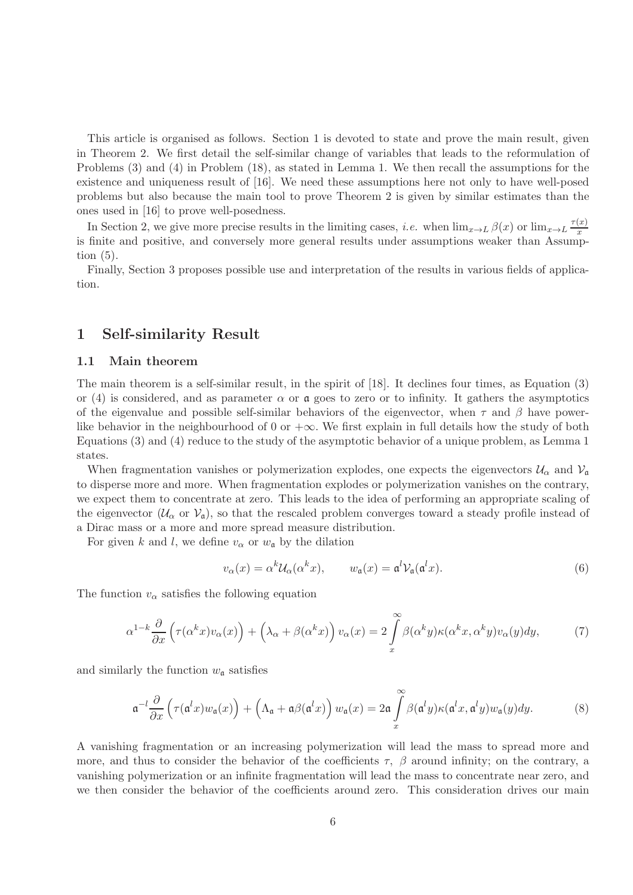This article is organised as follows. Section 1 is devoted to state and prove the main result, given in Theorem 2. We first detail the self-similar change of variables that leads to the reformulation of Problems (3) and (4) in Problem (18), as stated in Lemma 1. We then recall the assumptions for the existence and uniqueness result of [16]. We need these assumptions here not only to have well-posed problems but also because the main tool to prove Theorem 2 is given by similar estimates than the ones used in [16] to prove well-posedness.

In Section 2, we give more precise results in the limiting cases, *i.e.* when  $\lim_{x\to L} \beta(x)$  or  $\lim_{x\to L} \frac{\tau(x)}{x}$ x is finite and positive, and conversely more general results under assumptions weaker than Assumption  $(5)$ .

Finally, Section 3 proposes possible use and interpretation of the results in various fields of application.

## 1 Self-similarity Result

#### 1.1 Main theorem

The main theorem is a self-similar result, in the spirit of [18]. It declines four times, as Equation (3) or (4) is considered, and as parameter  $\alpha$  or  $\mathfrak a$  goes to zero or to infinity. It gathers the asymptotics of the eigenvalue and possible self-similar behaviors of the eigenvector, when  $\tau$  and  $\beta$  have powerlike behavior in the neighbourhood of 0 or  $+\infty$ . We first explain in full details how the study of both Equations (3) and (4) reduce to the study of the asymptotic behavior of a unique problem, as Lemma 1 states.

When fragmentation vanishes or polymerization explodes, one expects the eigenvectors  $\mathcal{U}_{\alpha}$  and  $\mathcal{V}_{\alpha}$ to disperse more and more. When fragmentation explodes or polymerization vanishes on the contrary, we expect them to concentrate at zero. This leads to the idea of performing an appropriate scaling of the eigenvector  $(\mathcal{U}_{\alpha}$  or  $\mathcal{V}_{\mathfrak{g}})$ , so that the rescaled problem converges toward a steady profile instead of a Dirac mass or a more and more spread measure distribution.

For given k and l, we define  $v_{\alpha}$  or  $w_{\alpha}$  by the dilation

$$
v_{\alpha}(x) = \alpha^{k} \mathcal{U}_{\alpha}(\alpha^{k} x), \qquad w_{\mathfrak{a}}(x) = \mathfrak{a}^{l} \mathcal{V}_{\mathfrak{a}}(\mathfrak{a}^{l} x).
$$
 (6)

The function  $v_{\alpha}$  satisfies the following equation

$$
\alpha^{1-k} \frac{\partial}{\partial x} \left( \tau(\alpha^k x) v_\alpha(x) \right) + \left( \lambda_\alpha + \beta(\alpha^k x) \right) v_\alpha(x) = 2 \int\limits_x^\infty \beta(\alpha^k y) \kappa(\alpha^k x, \alpha^k y) v_\alpha(y) dy, \tag{7}
$$

and similarly the function  $w_a$  satisfies

$$
\mathfrak{a}^{-l}\frac{\partial}{\partial x}\left(\tau(\mathfrak{a}^l x)w_{\mathfrak{a}}(x)\right)+\left(\Lambda_{\mathfrak{a}}+\mathfrak{a}\beta(\mathfrak{a}^l x)\right)w_{\mathfrak{a}}(x)=2\mathfrak{a}\int\limits_{x}^{\infty}\beta(\mathfrak{a}^l y)\kappa(\mathfrak{a}^l x,\mathfrak{a}^l y)w_{\mathfrak{a}}(y)dy.
$$
 (8)

A vanishing fragmentation or an increasing polymerization will lead the mass to spread more and more, and thus to consider the behavior of the coefficients  $\tau$ ,  $\beta$  around infinity; on the contrary, a vanishing polymerization or an infinite fragmentation will lead the mass to concentrate near zero, and we then consider the behavior of the coefficients around zero. This consideration drives our main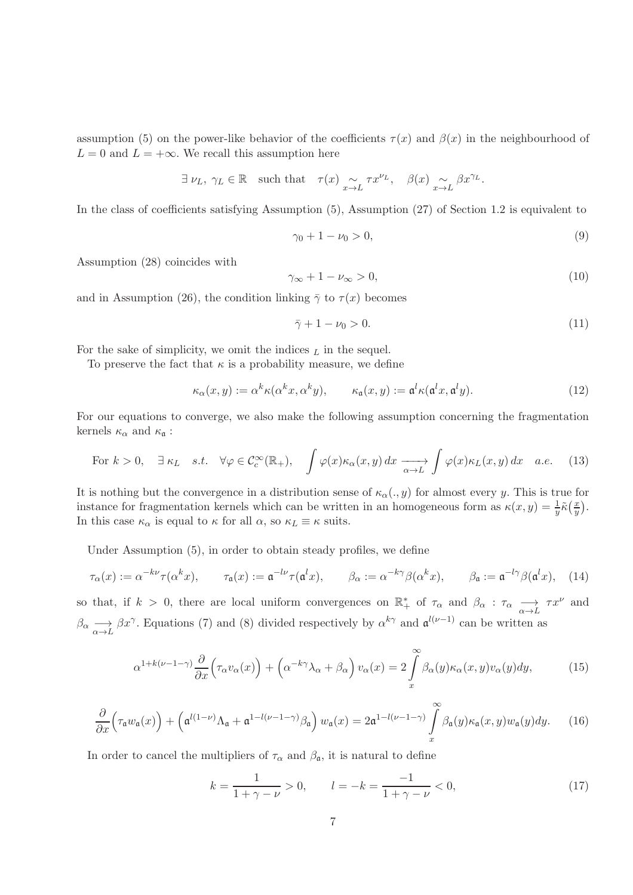assumption (5) on the power-like behavior of the coefficients  $\tau(x)$  and  $\beta(x)$  in the neighbourhood of  $L = 0$  and  $L = +\infty$ . We recall this assumption here

$$
\exists \nu_L, \gamma_L \in \mathbb{R}
$$
 such that  $\tau(x) \sim_{x \to L} \tau x^{\nu_L}, \quad \beta(x) \sim_{x \to L} \beta x^{\gamma_L}.$ 

In the class of coefficients satisfying Assumption (5), Assumption (27) of Section 1.2 is equivalent to

$$
\gamma_0 + 1 - \nu_0 > 0,\tag{9}
$$

Assumption (28) coincides with

$$
\gamma_{\infty} + 1 - \nu_{\infty} > 0,\tag{10}
$$

and in Assumption (26), the condition linking  $\bar{\gamma}$  to  $\tau(x)$  becomes

$$
\bar{\gamma} + 1 - \nu_0 > 0. \tag{11}
$$

For the sake of simplicity, we omit the indices  $<sub>L</sub>$  in the sequel.</sub>

To preserve the fact that  $\kappa$  is a probability measure, we define

$$
\kappa_{\alpha}(x,y) := \alpha^{k}\kappa(\alpha^{k}x, \alpha^{k}y), \qquad \kappa_{\mathfrak{a}}(x,y) := \mathfrak{a}^{l}\kappa(\mathfrak{a}^{l}x, \mathfrak{a}^{l}y).
$$
 (12)

For our equations to converge, we also make the following assumption concerning the fragmentation kernels  $\kappa_{\alpha}$  and  $\kappa_{\mathfrak{a}}$ :

For 
$$
k > 0
$$
,  $\exists \kappa_L$  s.t.  $\forall \varphi \in C_c^{\infty}(\mathbb{R}_+), \quad \int \varphi(x) \kappa_{\alpha}(x, y) dx \xrightarrow[\alpha \to L]{} \int \varphi(x) \kappa_L(x, y) dx \quad a.e. \quad (13)$ 

It is nothing but the convergence in a distribution sense of  $\kappa_{\alpha}(.,y)$  for almost every y. This is true for instance for fragmentation kernels which can be written in an homogeneous form as  $\kappa(x, y) = \frac{1}{y}\tilde{\kappa}(\frac{x}{y})$  $\frac{x}{y}$ . In this case  $\kappa_{\alpha}$  is equal to  $\kappa$  for all  $\alpha$ , so  $\kappa_L \equiv \kappa$  suits.

Under Assumption (5), in order to obtain steady profiles, we define

$$
\tau_{\alpha}(x) := \alpha^{-k\nu}\tau(\alpha^k x), \qquad \tau_{\mathfrak{a}}(x) := \mathfrak{a}^{-l\nu}\tau(\mathfrak{a}^l x), \qquad \beta_{\alpha} := \alpha^{-k\gamma}\beta(\alpha^k x), \qquad \beta_{\mathfrak{a}} := \mathfrak{a}^{-l\gamma}\beta(\mathfrak{a}^l x), \tag{14}
$$

so that, if  $k > 0$ , there are local uniform convergences on  $\mathbb{R}^*$  of  $\tau_{\alpha}$  and  $\beta_{\alpha} : \tau_{\alpha} \longrightarrow T^{x^{\nu}}$  and  $\beta_{\alpha} \longrightarrow \beta x^{\gamma}$ . Equations (7) and (8) divided respectively by  $\alpha^{k\gamma}$  and  $\mathfrak{a}^{l(\nu-1)}$  can be written as

$$
\alpha^{1+k(\nu-1-\gamma)}\frac{\partial}{\partial x}\Big(\tau_{\alpha}v_{\alpha}(x)\Big)+\left(\alpha^{-k\gamma}\lambda_{\alpha}+\beta_{\alpha}\right)v_{\alpha}(x)=2\int\limits_{x}^{\infty}\beta_{\alpha}(y)\kappa_{\alpha}(x,y)v_{\alpha}(y)dy,\tag{15}
$$

$$
\frac{\partial}{\partial x}\Big(\tau_{\mathfrak{a}}w_{\mathfrak{a}}(x)\Big) + \Big(\mathfrak{a}^{l(1-\nu)}\Lambda_{\mathfrak{a}} + \mathfrak{a}^{1-l(\nu-1-\gamma)}\beta_{\mathfrak{a}}\Big) w_{\mathfrak{a}}(x) = 2\mathfrak{a}^{1-l(\nu-1-\gamma)}\int\limits_{x}^{\infty}\beta_{\mathfrak{a}}(y)\kappa_{\mathfrak{a}}(x,y)w_{\mathfrak{a}}(y)dy. \tag{16}
$$

In order to cancel the multipliers of  $\tau_{\alpha}$  and  $\beta_{\mathfrak{a}}$ , it is natural to define

$$
k = \frac{1}{1 + \gamma - \nu} > 0, \qquad l = -k = \frac{-1}{1 + \gamma - \nu} < 0,
$$
\n(17)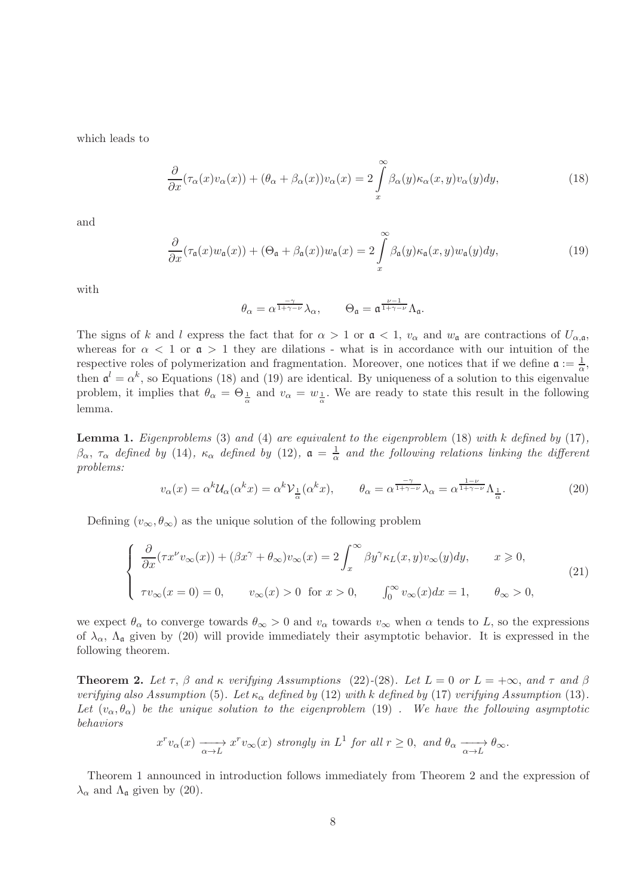which leads to

$$
\frac{\partial}{\partial x}(\tau_{\alpha}(x)v_{\alpha}(x)) + (\theta_{\alpha} + \beta_{\alpha}(x))v_{\alpha}(x) = 2\int\limits_{x}^{\infty}\beta_{\alpha}(y)\kappa_{\alpha}(x,y)v_{\alpha}(y)dy,
$$
\n(18)

and

$$
\frac{\partial}{\partial x}(\tau_{\mathfrak{a}}(x)w_{\mathfrak{a}}(x)) + (\Theta_{\mathfrak{a}} + \beta_{\mathfrak{a}}(x))w_{\mathfrak{a}}(x) = 2\int\limits_{x}^{\infty}\beta_{\mathfrak{a}}(y)\kappa_{\mathfrak{a}}(x,y)w_{\mathfrak{a}}(y)dy,
$$
\n(19)

with

$$
\theta_\alpha=\alpha^{\frac{-\gamma}{1+\gamma-\nu}}\lambda_\alpha,\qquad \Theta_{\mathfrak{a}}=\mathfrak{a}^{\frac{\nu-1}{1+\gamma-\nu}}\Lambda_{\mathfrak{a}}.
$$

The signs of k and l express the fact that for  $\alpha > 1$  or  $\mathfrak{a} < 1$ ,  $v_{\alpha}$  and  $w_{\mathfrak{a}}$  are contractions of  $U_{\alpha,\mathfrak{a}}$ , whereas for  $\alpha < 1$  or  $\mathfrak{a} > 1$  they are dilations - what is in accordance with our intuition of the respective roles of polymerization and fragmentation. Moreover, one notices that if we define  $\mathfrak{a} := \frac{1}{\alpha}$ , then  $\mathfrak{a}^l = \alpha^k$ , so Equations (18) and (19) are identical. By uniqueness of a solution to this eigenvalue problem, it implies that  $\theta_{\alpha} = \Theta_{\frac{1}{\alpha}}$  and  $v_{\alpha} = w_{\frac{1}{\alpha}}$ . We are ready to state this result in the following lemma.

**Lemma 1.** Eigenproblems (3) and (4) are equivalent to the eigenproblem (18) with k defined by  $(17)$ ,  $\beta_{\alpha}$ ,  $\tau_{\alpha}$  defined by (14),  $\kappa_{\alpha}$  defined by (12),  $\mathfrak{a} = \frac{1}{\alpha}$  $\frac{1}{\alpha}$  and the following relations linking the different problems:

$$
v_{\alpha}(x) = \alpha^{k} \mathcal{U}_{\alpha}(\alpha^{k} x) = \alpha^{k} \mathcal{V}_{\frac{1}{\alpha}}(\alpha^{k} x), \qquad \theta_{\alpha} = \alpha^{\frac{-\gamma}{1+\gamma-\nu}} \lambda_{\alpha} = \alpha^{\frac{1-\nu}{1+\gamma-\nu}} \Lambda_{\frac{1}{\alpha}}.
$$
 (20)

Defining  $(v_{\infty}, \theta_{\infty})$  as the unique solution of the following problem

$$
\begin{cases}\n\frac{\partial}{\partial x}(\tau x^{\nu}v_{\infty}(x)) + (\beta x^{\gamma} + \theta_{\infty})v_{\infty}(x) = 2 \int_{x}^{\infty} \beta y^{\gamma} \kappa_L(x, y)v_{\infty}(y)dy, & x \ge 0, \\
\tau v_{\infty}(x = 0) = 0, & v_{\infty}(x) > 0 \text{ for } x > 0, \qquad \int_{0}^{\infty} v_{\infty}(x)dx = 1, & \theta_{\infty} > 0,\n\end{cases}
$$
\n(21)

we expect  $\theta_{\alpha}$  to converge towards  $\theta_{\infty} > 0$  and  $v_{\alpha}$  towards  $v_{\infty}$  when  $\alpha$  tends to L, so the expressions of  $\lambda_{\alpha}$ ,  $\Lambda_{\mathfrak{a}}$  given by (20) will provide immediately their asymptotic behavior. It is expressed in the following theorem.

**Theorem 2.** Let  $\tau$ ,  $\beta$  and  $\kappa$  verifying Assumptions (22)-(28). Let  $L = 0$  or  $L = +\infty$ , and  $\tau$  and  $\beta$ verifying also Assumption (5). Let  $\kappa_{\alpha}$  defined by (12) with k defined by (17) verifying Assumption (13). Let  $(v_\alpha, \theta_\alpha)$  be the unique solution to the eigenproblem (19). We have the following asymptotic behaviors

$$
x^r v_\alpha(x) \xrightarrow[\alpha \to L]{} x^r v_\infty(x) \text{ strongly in } L^1 \text{ for all } r \ge 0, \text{ and } \theta_\alpha \xrightarrow[\alpha \to L]{} \theta_\infty.
$$

Theorem 1 announced in introduction follows immediately from Theorem 2 and the expression of  $\lambda_{\alpha}$  and  $\Lambda_{\mathfrak{a}}$  given by (20).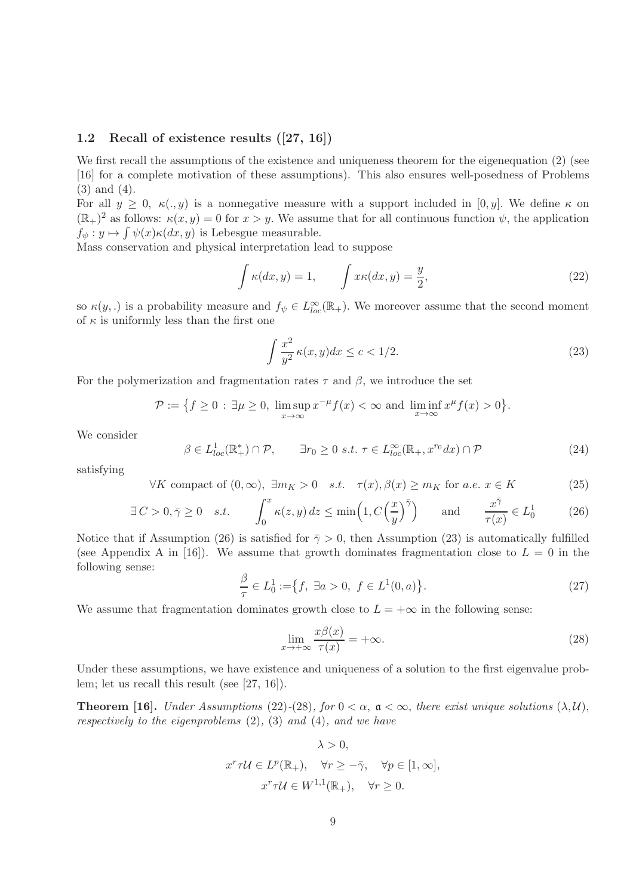#### 1.2 Recall of existence results ([27, 16])

We first recall the assumptions of the existence and uniqueness theorem for the eigenequation (2) (see [16] for a complete motivation of these assumptions). This also ensures well-posedness of Problems (3) and (4).

For all  $y \geq 0$ ,  $\kappa(x, y)$  is a nonnegative measure with a support included in [0, y]. We define  $\kappa$  on  $(\mathbb{R}_+)^2$  as follows:  $\kappa(x, y) = 0$  for  $x > y$ . We assume that for all continuous function  $\psi$ , the application  $f_{\psi}: y \mapsto \int \psi(x) \kappa(dx, y)$  is Lebesgue measurable.

Mass conservation and physical interpretation lead to suppose

$$
\int \kappa(dx, y) = 1, \qquad \int x\kappa(dx, y) = \frac{y}{2}, \tag{22}
$$

so  $\kappa(y,.)$  is a probability measure and  $f_{\psi} \in L^{\infty}_{loc}(\mathbb{R}_{+})$ . We moreover assume that the second moment of  $\kappa$  is uniformly less than the first one

$$
\int \frac{x^2}{y^2} \kappa(x, y) dx \le c < 1/2. \tag{23}
$$

For the polymerization and fragmentation rates  $\tau$  and  $\beta$ , we introduce the set

$$
\mathcal{P} := \left\{ f \ge 0 : \exists \mu \ge 0, \ \limsup_{x \to \infty} x^{-\mu} f(x) < \infty \text{ and } \liminf_{x \to \infty} x^{\mu} f(x) > 0 \right\}.
$$

We consider

$$
\beta \in L_{loc}^1(\mathbb{R}_+^*) \cap \mathcal{P}, \qquad \exists r_0 \ge 0 \ s.t. \ \tau \in L_{loc}^{\infty}(\mathbb{R}_+, x^{r_0} dx) \cap \mathcal{P}
$$
\n
$$
(24)
$$

satisfying

$$
\forall K \text{ compact of } (0, \infty), \exists m_K > 0 \quad s.t. \quad \tau(x), \beta(x) \ge m_K \text{ for a.e. } x \in K \tag{25}
$$

$$
\exists C > 0, \bar{\gamma} \ge 0 \quad s.t. \qquad \int_0^x \kappa(z, y) \, dz \le \min\left(1, C\left(\frac{x}{y}\right)^{\bar{\gamma}}\right) \qquad \text{and} \qquad \frac{x^{\bar{\gamma}}}{\tau(x)} \in L_0^1 \tag{26}
$$

Notice that if Assumption (26) is satisfied for  $\bar{\gamma} > 0$ , then Assumption (23) is automatically fulfilled (see Appendix A in [16]). We assume that growth dominates fragmentation close to  $L = 0$  in the following sense:

$$
\frac{\beta}{\tau} \in L_0^1 := \{ f, \ \exists a > 0, \ f \in L^1(0, a) \}.
$$
\n(27)

We assume that fragmentation dominates growth close to  $L = +\infty$  in the following sense:

$$
\lim_{x \to +\infty} \frac{x\beta(x)}{\tau(x)} = +\infty.
$$
\n(28)

Under these assumptions, we have existence and uniqueness of a solution to the first eigenvalue problem; let us recall this result (see [27, 16]).

**Theorem [16].** Under Assumptions (22)-(28), for  $0 < \alpha$ ,  $\mathfrak{a} < \infty$ , there exist unique solutions  $(\lambda, \mathcal{U})$ , respectively to the eigenproblems  $(2)$ ,  $(3)$  and  $(4)$ , and we have

$$
\lambda > 0,
$$
  

$$
x^r \tau \mathcal{U} \in L^p(\mathbb{R}_+), \quad \forall r \ge -\bar{\gamma}, \quad \forall p \in [1, \infty],
$$
  

$$
x^r \tau \mathcal{U} \in W^{1,1}(\mathbb{R}_+), \quad \forall r \ge 0.
$$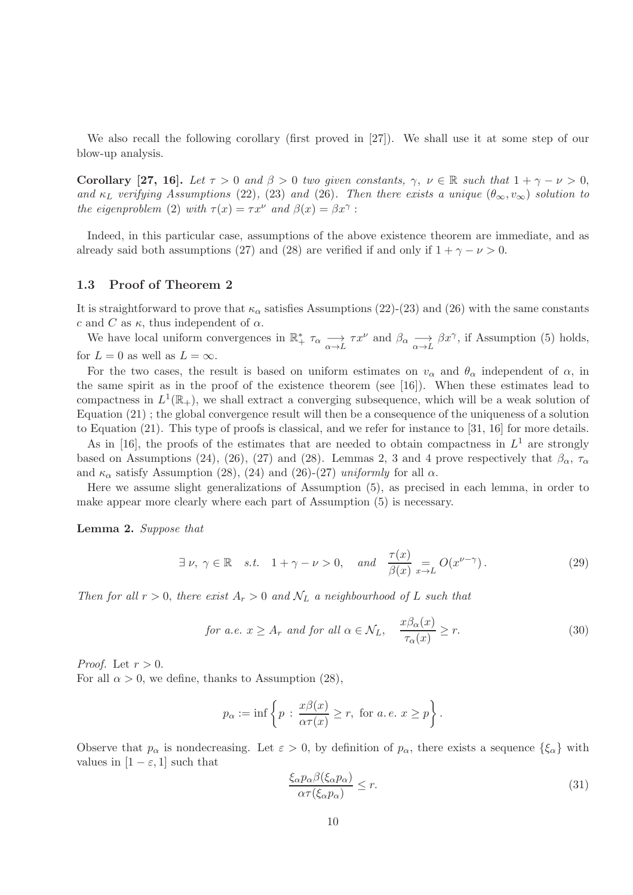We also recall the following corollary (first proved in [27]). We shall use it at some step of our blow-up analysis.

**Corollary** [27, 16]. Let  $\tau > 0$  and  $\beta > 0$  two given constants,  $\gamma, \nu \in \mathbb{R}$  such that  $1 + \gamma - \nu > 0$ , and  $\kappa_L$  verifying Assumptions (22), (23) and (26). Then there exists a unique  $(\theta_{\infty}, v_{\infty})$  solution to the eigenproblem (2) with  $\tau(x) = \tau x^{\nu}$  and  $\beta(x) = \beta x^{\gamma}$ :

Indeed, in this particular case, assumptions of the above existence theorem are immediate, and as already said both assumptions (27) and (28) are verified if and only if  $1 + \gamma - \nu > 0$ .

#### 1.3 Proof of Theorem 2

It is straightforward to prove that  $\kappa_{\alpha}$  satisfies Assumptions (22)-(23) and (26) with the same constants c and C as  $\kappa$ , thus independent of  $\alpha$ .

We have local uniform convergences in  $\mathbb{R}^*$ ,  $\tau_{\alpha} \longrightarrow \tau x^{\nu}$  and  $\beta_{\alpha} \longrightarrow \beta x^{\gamma}$ , if Assumption (5) holds, for  $L = 0$  as well as  $L = \infty$ .

For the two cases, the result is based on uniform estimates on  $v_{\alpha}$  and  $\theta_{\alpha}$  independent of  $\alpha$ , in the same spirit as in the proof of the existence theorem (see [16]). When these estimates lead to compactness in  $L^1(\mathbb{R}_+)$ , we shall extract a converging subsequence, which will be a weak solution of Equation (21) ; the global convergence result will then be a consequence of the uniqueness of a solution to Equation (21). This type of proofs is classical, and we refer for instance to [31, 16] for more details.

As in [16], the proofs of the estimates that are needed to obtain compactness in  $L^1$  are strongly based on Assumptions (24), (26), (27) and (28). Lemmas 2, 3 and 4 prove respectively that  $\beta_{\alpha}$ ,  $\tau_{\alpha}$ and  $\kappa_{\alpha}$  satisfy Assumption (28), (24) and (26)-(27) uniformly for all  $\alpha$ .

Here we assume slight generalizations of Assumption (5), as precised in each lemma, in order to make appear more clearly where each part of Assumption (5) is necessary.

#### Lemma 2. Suppose that

$$
\exists \nu, \ \gamma \in \mathbb{R} \quad s.t. \quad 1 + \gamma - \nu > 0, \quad \text{and} \quad \frac{\tau(x)}{\beta(x)} = O(x^{\nu - \gamma}). \tag{29}
$$

Then for all  $r > 0$ , there exist  $A_r > 0$  and  $\mathcal{N}_L$  a neighbourhood of L such that

for a.e. 
$$
x \ge A_r
$$
 and for all  $\alpha \in \mathcal{N}_L$ ,  $\frac{x\beta_{\alpha}(x)}{\tau_{\alpha}(x)} \ge r$ . (30)

*Proof.* Let  $r > 0$ .

For all  $\alpha > 0$ , we define, thanks to Assumption (28),

$$
p_{\alpha} := \inf \left\{ p \, : \, \frac{x\beta(x)}{\alpha \tau(x)} \ge r, \text{ for } a.e. \ x \ge p \right\}.
$$

Observe that  $p_{\alpha}$  is nondecreasing. Let  $\varepsilon > 0$ , by definition of  $p_{\alpha}$ , there exists a sequence  $\{\xi_{\alpha}\}\$  with values in  $[1 - \varepsilon, 1]$  such that

$$
\frac{\xi_{\alpha}p_{\alpha}\beta(\xi_{\alpha}p_{\alpha})}{\alpha\tau(\xi_{\alpha}p_{\alpha})} \le r.
$$
\n(31)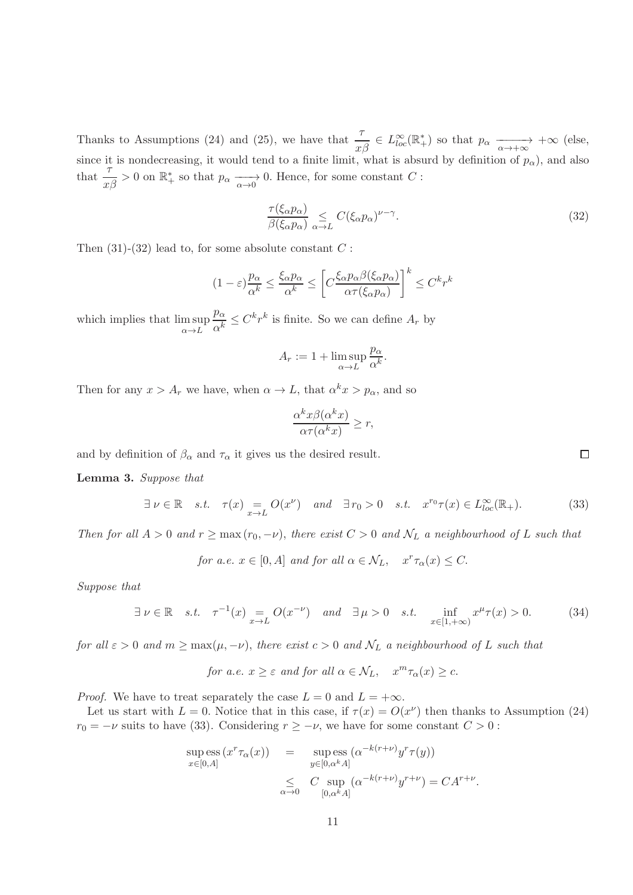Thanks to Assumptions (24) and (25), we have that  $\frac{\tau}{x\beta} \in L^{\infty}_{loc}(\mathbb{R}^{*}_{+})$  so that  $p_{\alpha} \xrightarrow[\alpha \to +\infty]{} +\infty$  (else, since it is nondecreasing, it would tend to a finite limit, what is absurd by definition of  $p_{\alpha}$ ), and also that  $\frac{\tau}{x\beta} > 0$  on  $\mathbb{R}^*$  so that  $p_\alpha \xrightarrow[\alpha \to 0]{} 0$ . Hence, for some constant C :

$$
\frac{\tau(\xi_{\alpha}p_{\alpha})}{\beta(\xi_{\alpha}p_{\alpha})} \leq C(\xi_{\alpha}p_{\alpha})^{\nu-\gamma}.
$$
\n(32)

Then  $(31)-(32)$  lead to, for some absolute constant C :

$$
(1 - \varepsilon) \frac{p_{\alpha}}{\alpha^k} \le \frac{\xi_{\alpha} p_{\alpha}}{\alpha^k} \le \left[ C \frac{\xi_{\alpha} p_{\alpha} \beta(\xi_{\alpha} p_{\alpha})}{\alpha \tau(\xi_{\alpha} p_{\alpha})} \right]^k \le C^k r^k
$$

which implies that lim sup  $\alpha \rightarrow L$  $p_{\alpha}$  $\frac{p_{\alpha}}{\alpha^k} \leq C^k r^k$  is finite. So we can define  $A_r$  by

$$
A_r := 1 + \limsup_{\alpha \to L} \frac{p_\alpha}{\alpha^k}.
$$

Then for any  $x > A_r$  we have, when  $\alpha \to L$ , that  $\alpha^k x > p_\alpha$ , and so

$$
\frac{\alpha^k x \beta(\alpha^k x)}{\alpha \tau(\alpha^k x)} \ge r,
$$

and by definition of  $\beta_{\alpha}$  and  $\tau_{\alpha}$  it gives us the desired result.

#### Lemma 3. Suppose that

$$
\exists \nu \in \mathbb{R} \quad s.t. \quad \tau(x) = O(x^{\nu}) \quad and \quad \exists r_0 > 0 \quad s.t. \quad x^{r_0} \tau(x) \in L^{\infty}_{loc}(\mathbb{R}_+). \tag{33}
$$

Then for all  $A > 0$  and  $r \ge \max(r_0, -\nu)$ , there exist  $C > 0$  and  $\mathcal{N}_L$  a neighbourhood of L such that

for a.e.  $x \in [0, A]$  and for all  $\alpha \in \mathcal{N}_L$ ,  $x^r \tau_\alpha(x) \leq C$ .

Suppose that

$$
\exists \nu \in \mathbb{R} \quad s.t. \quad \tau^{-1}(x) = O(x^{-\nu}) \quad \text{and} \quad \exists \mu > 0 \quad s.t. \quad \inf_{x \in [1, +\infty)} x^{\mu} \tau(x) > 0. \tag{34}
$$

for all  $\varepsilon > 0$  and  $m \ge \max(\mu, -\nu)$ , there exist  $c > 0$  and  $\mathcal{N}_L$  a neighbourhood of L such that

for a.e. 
$$
x \ge \varepsilon
$$
 and for all  $\alpha \in \mathcal{N}_L$ ,  $x^m \tau_\alpha(x) \ge c$ .

*Proof.* We have to treat separately the case  $L = 0$  and  $L = +\infty$ .

Let us start with  $L = 0$ . Notice that in this case, if  $\tau(x) = O(x^{\nu})$  then thanks to Assumption (24)  $r_0 = -\nu$  suits to have (33). Considering  $r \geq -\nu$ , we have for some constant  $C > 0$ :

$$
\sup_{x \in [0,A]} \text{ess}(x^r \tau_\alpha(x)) = \sup_{y \in [0,\alpha^k A]} \text{ess}(\alpha^{-k(r+\nu)} y^r \tau(y))
$$

$$
\leq C \sup_{\alpha \to 0} (\alpha^{-k(r+\nu)} y^{r+\nu}) = C A^{r+\nu}.
$$

 $\Box$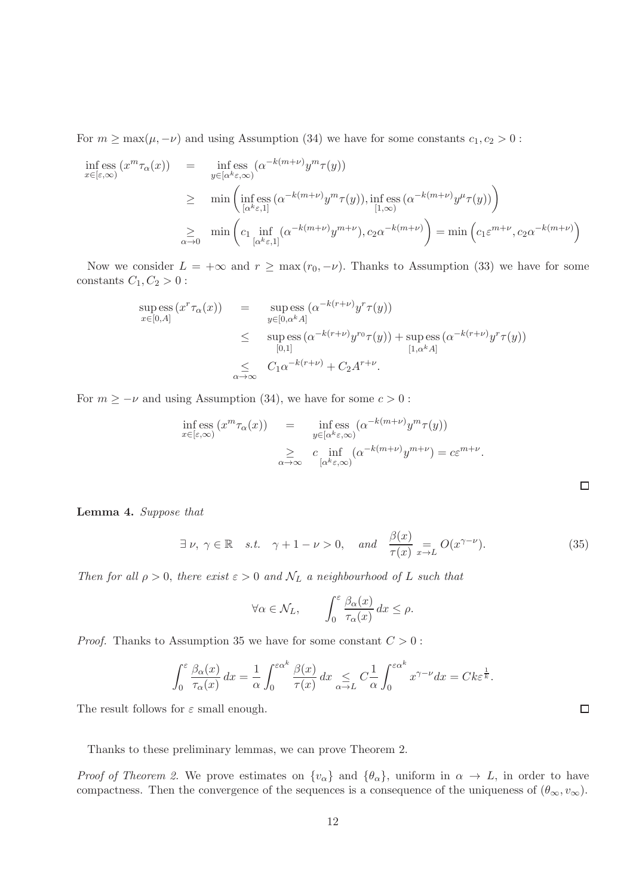For  $m \ge \max(\mu, -\nu)$  and using Assumption (34) we have for some constants  $c_1, c_2 > 0$ :

$$
\inf_{x \in [\varepsilon, \infty)} (x^m \tau_\alpha(x)) = \inf_{y \in [\alpha^{k} \varepsilon, \infty)} (\alpha^{-k(m+\nu)} y^m \tau(y))
$$
\n
$$
\geq \min \left( \inf_{[\alpha^{k} \varepsilon, 1]} \exp(\alpha^{-k(m+\nu)} y^m \tau(y)), \inf_{[1, \infty)} \exp(\alpha^{-k(m+\nu)} y^{\mu} \tau(y)) \right)
$$
\n
$$
\geq \min_{\alpha \to 0} \left( c_1 \inf_{[\alpha^{k} \varepsilon, 1]} (\alpha^{-k(m+\nu)} y^{m+\nu}), c_2 \alpha^{-k(m+\nu)} \right) = \min \left( c_1 \varepsilon^{m+\nu}, c_2 \alpha^{-k(m+\nu)} \right)
$$

Now we consider  $L = +\infty$  and  $r \ge \max(r_0, -\nu)$ . Thanks to Assumption (33) we have for some constants  $C_1, C_2 > 0$ :

$$
\sup_{x \in [0,A]} \text{ess}\left(x^r \tau_\alpha(x)\right) = \sup_{y \in [0,\alpha^k A]} \text{ess}\left(\alpha^{-k(r+\nu)} y^r \tau(y)\right)
$$
\n
$$
\leq \sup_{[0,1]} \text{ess}\left(\alpha^{-k(r+\nu)} y^{r_0} \tau(y)\right) + \sup_{[1,\alpha^k A]} \text{ess}\left(\alpha^{-k(r+\nu)} y^r \tau(y)\right)
$$
\n
$$
\leq C_1 \alpha^{-k(r+\nu)} + C_2 A^{r+\nu}.
$$

For  $m \geq -\nu$  and using Assumption (34), we have for some  $c > 0$ :

$$
\inf_{x \in [\varepsilon, \infty)} (\varepsilon^m \tau_\alpha(x)) = \inf_{\substack{y \in [\alpha^k \varepsilon, \infty) \\ \alpha \to \infty}} (\alpha^{-k(m+\nu)} y^m \tau(y))
$$
  

$$
\geq c \inf_{[\alpha^k \varepsilon, \infty)} (\alpha^{-k(m+\nu)} y^{m+\nu}) = c \varepsilon^{m+\nu}.
$$

| <b>Lemma 4.</b> Suppose that |  |  |
|------------------------------|--|--|
|------------------------------|--|--|

$$
\exists \nu, \ \gamma \in \mathbb{R} \quad s.t. \quad \gamma + 1 - \nu > 0, \quad \text{and} \quad \frac{\beta(x)}{\tau(x)} \underset{x \to L}{=} O(x^{\gamma - \nu}). \tag{35}
$$

Then for all  $\rho > 0$ , there exist  $\varepsilon > 0$  and  $\mathcal{N}_L$  a neighbourhood of L such that

$$
\forall \alpha \in \mathcal{N}_L, \qquad \int_0^\varepsilon \frac{\beta_\alpha(x)}{\tau_\alpha(x)} dx \le \rho.
$$

*Proof.* Thanks to Assumption 35 we have for some constant  $C > 0$ :

$$
\int_0^{\varepsilon} \frac{\beta_{\alpha}(x)}{\tau_{\alpha}(x)} dx = \frac{1}{\alpha} \int_0^{\varepsilon \alpha^k} \frac{\beta(x)}{\tau(x)} dx \leq C \frac{1}{\alpha} \int_0^{\varepsilon \alpha^k} x^{\gamma - \nu} dx = C k \varepsilon^{\frac{1}{k}}.
$$

The result follows for  $\varepsilon$  small enough.

Thanks to these preliminary lemmas, we can prove Theorem 2.

*Proof of Theorem 2.* We prove estimates on  $\{v_\alpha\}$  and  $\{\theta_\alpha\}$ , uniform in  $\alpha \to L$ , in order to have compactness. Then the convergence of the sequences is a consequence of the uniqueness of  $(\theta_{\infty}, v_{\infty})$ .

 $\Box$ 

 $\Box$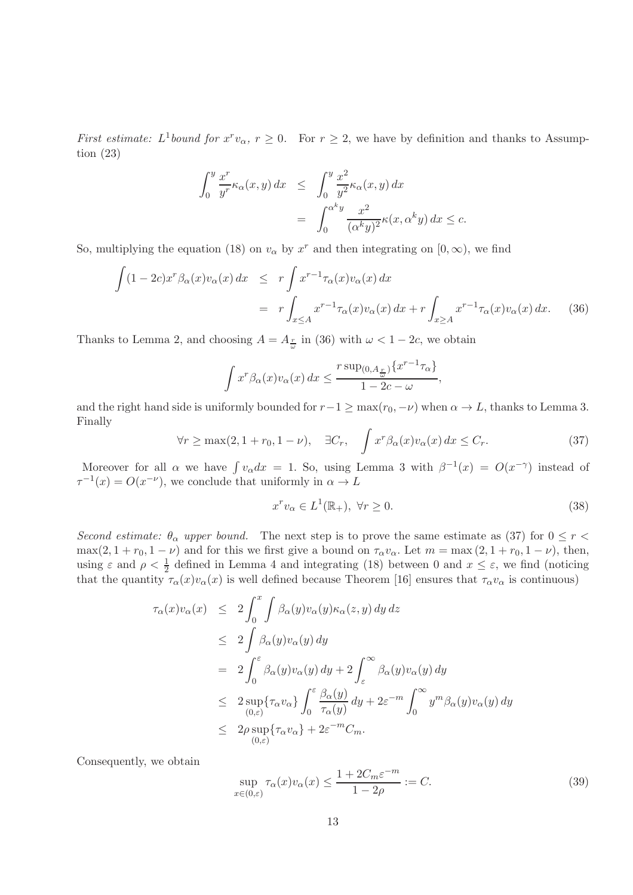*First estimate:*  $L^1$  *bound for*  $x^r v_\alpha$ ,  $r \geq 0$ . For  $r \geq 2$ , we have by definition and thanks to Assumption (23)

$$
\int_0^y \frac{x^r}{y^r} \kappa_\alpha(x, y) dx \le \int_0^y \frac{x^2}{y^2} \kappa_\alpha(x, y) dx
$$
  
= 
$$
\int_0^{\alpha^k y} \frac{x^2}{(\alpha^k y)^2} \kappa(x, \alpha^k y) dx \le c.
$$

So, multiplying the equation (18) on  $v_{\alpha}$  by  $x^{r}$  and then integrating on  $[0, \infty)$ , we find

$$
\int (1 - 2c)x^{r} \beta_{\alpha}(x) v_{\alpha}(x) dx \le r \int x^{r-1} \tau_{\alpha}(x) v_{\alpha}(x) dx
$$
  
=  $r \int_{x \le A} x^{r-1} \tau_{\alpha}(x) v_{\alpha}(x) dx + r \int_{x \ge A} x^{r-1} \tau_{\alpha}(x) v_{\alpha}(x) dx.$  (36)

Thanks to Lemma 2, and choosing  $A = A_{\frac{r}{\omega}}$  in (36) with  $\omega < 1 - 2c$ , we obtain

$$
\int x^r \beta_\alpha(x) v_\alpha(x) dx \le \frac{r \sup_{(0, A_{\frac{r}{\omega}})} \{x^{r-1} \tau_\alpha\}}{1 - 2c - \omega},
$$

and the right hand side is uniformly bounded for  $r-1 \ge \max(r_0, -\nu)$  when  $\alpha \to L$ , thanks to Lemma 3. Finally

$$
\forall r \ge \max(2, 1 + r_0, 1 - \nu), \quad \exists C_r, \quad \int x^r \beta_\alpha(x) v_\alpha(x) \, dx \le C_r. \tag{37}
$$

Moreover for all  $\alpha$  we have  $\int v_{\alpha} dx = 1$ . So, using Lemma 3 with  $\beta^{-1}(x) = O(x^{-\gamma})$  instead of  $\tau^{-1}(x) = O(x^{-\nu})$ , we conclude that uniformly in  $\alpha \to L$ 

$$
x^r v_\alpha \in L^1(\mathbb{R}_+), \ \forall r \ge 0. \tag{38}
$$

Second estimate:  $\theta_{\alpha}$  upper bound. The next step is to prove the same estimate as (37) for  $0 \le r <$  $\max(2, 1 + r_0, 1 - \nu)$  and for this we first give a bound on  $\tau_{\alpha}v_{\alpha}$ . Let  $m = \max(2, 1 + r_0, 1 - \nu)$ , then, using  $\varepsilon$  and  $\rho < \frac{1}{2}$  defined in Lemma 4 and integrating (18) between 0 and  $x \leq \varepsilon$ , we find (noticing that the quantity  $\tau_{\alpha}(x)v_{\alpha}(x)$  is well defined because Theorem [16] ensures that  $\tau_{\alpha}v_{\alpha}$  is continuous)

$$
\tau_{\alpha}(x)v_{\alpha}(x) \leq 2 \int_{0}^{x} \int \beta_{\alpha}(y)v_{\alpha}(y)\kappa_{\alpha}(z,y) dy dz
$$
\n
$$
\leq 2 \int \beta_{\alpha}(y)v_{\alpha}(y) dy
$$
\n
$$
= 2 \int_{0}^{\varepsilon} \beta_{\alpha}(y)v_{\alpha}(y) dy + 2 \int_{\varepsilon}^{\infty} \beta_{\alpha}(y)v_{\alpha}(y) dy
$$
\n
$$
\leq 2 \sup_{(0,\varepsilon)} {\tau_{\alpha}v_{\alpha}} \int_{0}^{\varepsilon} \frac{\beta_{\alpha}(y)}{\tau_{\alpha}(y)} dy + 2\varepsilon^{-m} \int_{0}^{\infty} y^{m} \beta_{\alpha}(y)v_{\alpha}(y) dy
$$
\n
$$
\leq 2\rho \sup_{(0,\varepsilon)} {\tau_{\alpha}v_{\alpha}} + 2\varepsilon^{-m} C_{m}.
$$

Consequently, we obtain

$$
\sup_{x \in (0,\varepsilon)} \tau_{\alpha}(x)v_{\alpha}(x) \le \frac{1 + 2C_m \varepsilon^{-m}}{1 - 2\rho} := C.
$$
\n(39)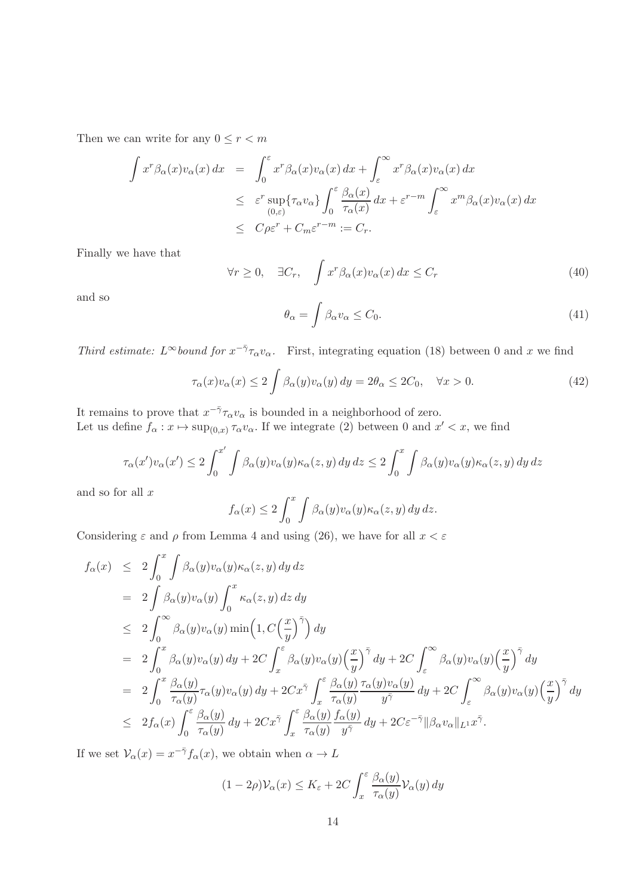Then we can write for any  $0\leq r < m$ 

$$
\int x^r \beta_\alpha(x) v_\alpha(x) dx = \int_0^\varepsilon x^r \beta_\alpha(x) v_\alpha(x) dx + \int_\varepsilon^\infty x^r \beta_\alpha(x) v_\alpha(x) dx
$$
  
\n
$$
\leq \varepsilon^r \sup_{(0,\varepsilon)} \{ \tau_\alpha v_\alpha \} \int_0^\varepsilon \frac{\beta_\alpha(x)}{\tau_\alpha(x)} dx + \varepsilon^{r-m} \int_\varepsilon^\infty x^m \beta_\alpha(x) v_\alpha(x) dx
$$
  
\n
$$
\leq C \rho \varepsilon^r + C_m \varepsilon^{r-m} := C_r.
$$

Finally we have that

$$
\forall r \ge 0, \quad \exists C_r, \quad \int x^r \beta_\alpha(x) v_\alpha(x) \, dx \le C_r \tag{40}
$$

and so

$$
\theta_{\alpha} = \int \beta_{\alpha} v_{\alpha} \le C_0. \tag{41}
$$

Third estimate:  $L^{\infty}$  bound for  $x^{-\bar{\gamma}} \tau_{\alpha} v_{\alpha}$ . First, integrating equation (18) between 0 and x we find

$$
\tau_{\alpha}(x)v_{\alpha}(x) \le 2 \int \beta_{\alpha}(y)v_{\alpha}(y) dy = 2\theta_{\alpha} \le 2C_0, \quad \forall x > 0.
$$
\n(42)

It remains to prove that  $x^{-\bar{\gamma}} \tau_\alpha v_\alpha$  is bounded in a neighborhood of zero. Let us define  $f_{\alpha}: x \mapsto \sup_{(0,x)} \tau_{\alpha} v_{\alpha}$ . If we integrate (2) between 0 and  $x' < x$ , we find

$$
\tau_{\alpha}(x')v_{\alpha}(x') \le 2\int_0^{x'} \int \beta_{\alpha}(y)v_{\alpha}(y)\kappa_{\alpha}(z,y) dy dz \le 2\int_0^x \int \beta_{\alpha}(y)v_{\alpha}(y)\kappa_{\alpha}(z,y) dy dz
$$

and so for all  $x$ 

$$
f_{\alpha}(x) \le 2 \int_0^x \int \beta_{\alpha}(y) v_{\alpha}(y) \kappa_{\alpha}(z, y) dy dz.
$$

Considering  $\varepsilon$  and  $\rho$  from Lemma 4 and using (26), we have for all  $x < \varepsilon$ 

$$
f_{\alpha}(x) \leq 2 \int_{0}^{x} \int \beta_{\alpha}(y) v_{\alpha}(y) \kappa_{\alpha}(z, y) dy dz
$$
  
\n
$$
= 2 \int \beta_{\alpha}(y) v_{\alpha}(y) \int_{0}^{x} \kappa_{\alpha}(z, y) dz dy
$$
  
\n
$$
\leq 2 \int_{0}^{\infty} \beta_{\alpha}(y) v_{\alpha}(y) \min\left(1, C\left(\frac{x}{y}\right)^{\bar{\gamma}}\right) dy
$$
  
\n
$$
= 2 \int_{0}^{x} \beta_{\alpha}(y) v_{\alpha}(y) dy + 2C \int_{x}^{\varepsilon} \beta_{\alpha}(y) v_{\alpha}(y) \left(\frac{x}{y}\right)^{\bar{\gamma}} dy + 2C \int_{\varepsilon}^{\infty} \beta_{\alpha}(y) v_{\alpha}(y) \left(\frac{x}{y}\right)^{\bar{\gamma}} dy
$$
  
\n
$$
= 2 \int_{0}^{x} \frac{\beta_{\alpha}(y)}{\tau_{\alpha}(y)} \tau_{\alpha}(y) v_{\alpha}(y) dy + 2Cx^{\bar{\gamma}} \int_{x}^{\varepsilon} \frac{\beta_{\alpha}(y)}{\tau_{\alpha}(y)} \frac{\tau_{\alpha}(y) v_{\alpha}(y)}{y^{\bar{\gamma}}} dy + 2C \int_{\varepsilon}^{\infty} \beta_{\alpha}(y) v_{\alpha}(y) \left(\frac{x}{y}\right)^{\bar{\gamma}} dy
$$
  
\n
$$
\leq 2f_{\alpha}(x) \int_{0}^{\varepsilon} \frac{\beta_{\alpha}(y)}{\tau_{\alpha}(y)} dy + 2Cx^{\bar{\gamma}} \int_{x}^{\varepsilon} \frac{\beta_{\alpha}(y)}{\tau_{\alpha}(y)} \frac{f_{\alpha}(y)}{y^{\bar{\gamma}}} dy + 2C\varepsilon^{-\bar{\gamma}} ||\beta_{\alpha}v_{\alpha}||_{L^{1}} x^{\bar{\gamma}}.
$$

If we set  $\mathcal{V}_{\alpha}(x) = x^{-\bar{\gamma}} f_{\alpha}(x)$ , we obtain when  $\alpha \to L$ 

$$
(1 - 2\rho) \mathcal{V}_{\alpha}(x) \le K_{\varepsilon} + 2C \int_{x}^{\varepsilon} \frac{\beta_{\alpha}(y)}{\tau_{\alpha}(y)} \mathcal{V}_{\alpha}(y) dy
$$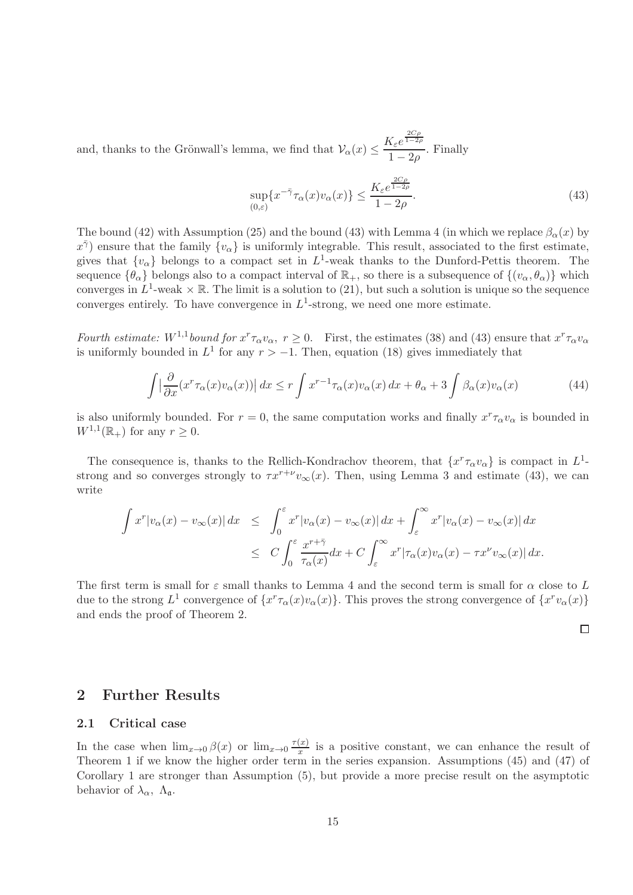and, thanks to the Grönwall's lemma, we find that  $\mathcal{V}_{\alpha}(x) \leq \frac{K_{\varepsilon}e^{\frac{2C\rho}{1-2\rho}}}{1-2\rho}$  $\frac{1}{1-2\rho}$ . Finally

$$
\sup_{(0,\varepsilon)} \{x^{-\bar{\gamma}}\tau_{\alpha}(x)v_{\alpha}(x)\} \le \frac{K_{\varepsilon}e^{\frac{2C_{\rho}}{1-2\rho}}}{1-2\rho}.
$$
\n(43)

The bound (42) with Assumption (25) and the bound (43) with Lemma 4 (in which we replace  $\beta_{\alpha}(x)$  by  $x^{\bar{\gamma}}$  ensure that the family  $\{v_{\alpha}\}\$ is uniformly integrable. This result, associated to the first estimate, gives that  $\{v_{\alpha}\}\$ belongs to a compact set in  $L^1$ -weak thanks to the Dunford-Pettis theorem. The sequence  $\{\theta_{\alpha}\}\$ belongs also to a compact interval of  $\mathbb{R}_+$ , so there is a subsequence of  $\{(v_{\alpha}, \theta_{\alpha})\}\$ which converges in  $L^1$ -weak  $\times \mathbb{R}$ . The limit is a solution to (21), but such a solution is unique so the sequence converges entirely. To have convergence in  $L^1$ -strong, we need one more estimate.

Fourth estimate:  $W^{1,1}$  bound for  $x^r \tau_\alpha v_\alpha$ ,  $r \ge 0$ . First, the estimates (38) and (43) ensure that  $x^r \tau_\alpha v_\alpha$ is uniformly bounded in  $L^1$  for any  $r > -1$ . Then, equation (18) gives immediately that

$$
\int \left| \frac{\partial}{\partial x} (x^r \tau_\alpha(x) v_\alpha(x)) \right| dx \le r \int x^{r-1} \tau_\alpha(x) v_\alpha(x) dx + \theta_\alpha + 3 \int \beta_\alpha(x) v_\alpha(x) \tag{44}
$$

is also uniformly bounded. For  $r = 0$ , the same computation works and finally  $x^r \tau_\alpha v_\alpha$  is bounded in  $W^{1,1}(\mathbb{R}_+)$  for any  $r \geq 0$ .

The consequence is, thanks to the Rellich-Kondrachov theorem, that  $\{x^r \tau_\alpha v_\alpha\}$  is compact in  $L^1$ strong and so converges strongly to  $\tau x^{r+\nu} v_{\infty}(x)$ . Then, using Lemma 3 and estimate (43), we can write

$$
\int x^r |v_\alpha(x) - v_\infty(x)| dx \leq \int_0^\varepsilon x^r |v_\alpha(x) - v_\infty(x)| dx + \int_\varepsilon^\infty x^r |v_\alpha(x) - v_\infty(x)| dx
$$
  

$$
\leq C \int_0^\varepsilon \frac{x^{r+\bar{\gamma}}}{\tau_\alpha(x)} dx + C \int_\varepsilon^\infty x^r |\tau_\alpha(x) v_\alpha(x) - \tau x^\nu v_\infty(x)| dx.
$$

The first term is small for  $\varepsilon$  small thanks to Lemma 4 and the second term is small for  $\alpha$  close to L due to the strong  $L^1$  convergence of  $\{x^r\tau_\alpha(x)v_\alpha(x)\}$ . This proves the strong convergence of  $\{x^rv_\alpha(x)\}$ and ends the proof of Theorem 2.

 $\Box$ 

### 2 Further Results

#### 2.1 Critical case

In the case when  $\lim_{x\to 0} \beta(x)$  or  $\lim_{x\to 0} \frac{\tau(x)}{x}$  $\frac{d(x)}{dx}$  is a positive constant, we can enhance the result of Theorem 1 if we know the higher order term in the series expansion. Assumptions (45) and (47) of Corollary 1 are stronger than Assumption (5), but provide a more precise result on the asymptotic behavior of  $\lambda_{\alpha}$ ,  $\Lambda_{\mathfrak{a}}$ .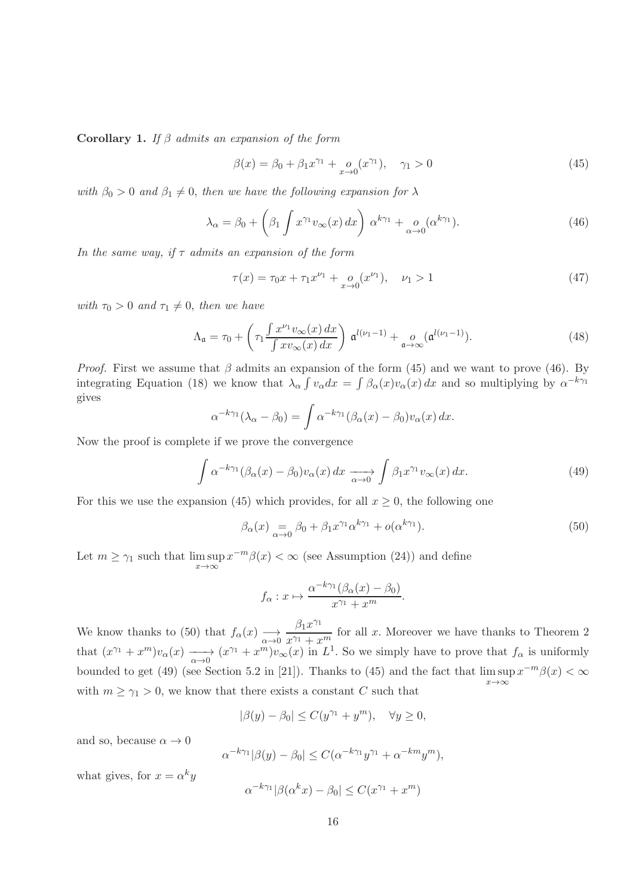Corollary 1. If  $\beta$  admits an expansion of the form

$$
\beta(x) = \beta_0 + \beta_1 x^{\gamma_1} + o_{x \to 0}(x^{\gamma_1}), \quad \gamma_1 > 0
$$
\n(45)

with  $\beta_0 > 0$  and  $\beta_1 \neq 0$ , then we have the following expansion for  $\lambda$ 

$$
\lambda_{\alpha} = \beta_0 + \left(\beta_1 \int x^{\gamma_1} v_{\infty}(x) dx\right) \alpha^{k\gamma_1} + \underset{\alpha \to 0}{\rho} (\alpha^{k\gamma_1}). \tag{46}
$$

In the same way, if  $\tau$  admits an expansion of the form

$$
\tau(x) = \tau_0 x + \tau_1 x^{\nu_1} + o_{x \to 0}(x^{\nu_1}), \quad \nu_1 > 1 \tag{47}
$$

with  $\tau_0 > 0$  and  $\tau_1 \neq 0$ , then we have

$$
\Lambda_{\mathfrak{a}} = \tau_0 + \left(\tau_1 \frac{\int x^{\nu_1} v_{\infty}(x) dx}{\int x v_{\infty}(x) dx}\right) \mathfrak{a}^{l(\nu_1 - 1)} + \underset{\mathfrak{a} \to \infty}{o} (\mathfrak{a}^{l(\nu_1 - 1)}).
$$
\n(48)

*Proof.* First we assume that  $\beta$  admits an expansion of the form (45) and we want to prove (46). By integrating Equation (18) we know that  $\lambda_{\alpha} \int v_{\alpha} dx = \int \beta_{\alpha}(x) v_{\alpha}(x) dx$  and so multiplying by  $\alpha^{-k\gamma_1}$ gives

$$
\alpha^{-k\gamma_1}(\lambda_\alpha - \beta_0) = \int \alpha^{-k\gamma_1}(\beta_\alpha(x) - \beta_0)v_\alpha(x) dx.
$$

Now the proof is complete if we prove the convergence

$$
\int \alpha^{-k\gamma_1} (\beta_\alpha(x) - \beta_0) v_\alpha(x) dx \xrightarrow[\alpha \to 0]{} \int \beta_1 x^{\gamma_1} v_\infty(x) dx.
$$
\n(49)

For this we use the expansion (45) which provides, for all  $x \geq 0$ , the following one

$$
\beta_{\alpha}(x) = \beta_0 + \beta_1 x^{\gamma_1} \alpha^{k\gamma_1} + o(\alpha^{k\gamma_1}).\tag{50}
$$

Let  $m \ge \gamma_1$  such that  $\limsup_{x \to \infty} x^{-m}\beta(x) < \infty$  (see Assumption (24)) and define

$$
f_{\alpha}: x \mapsto \frac{\alpha^{-k\gamma_1}(\beta_{\alpha}(x) - \beta_0)}{x^{\gamma_1} + x^m}.
$$

We know thanks to (50) that  $f_{\alpha}(x) \longrightarrow \frac{\beta_1 x^{\gamma_1}}{\alpha \rightarrow 0}$  $\frac{p_1\omega}{x^{\gamma_1}+x^m}$  for all x. Moreover we have thanks to Theorem 2 that  $(x^{\gamma_1} + x^m)v_\alpha(x) \longrightarrow (x^{\gamma_1} + x^m)v_\infty(x)$  in  $L^1$ . So we simply have to prove that  $f_\alpha$  is uniformly bounded to get (49) (see Section 5.2 in [21]). Thanks to (45) and the fact that  $\limsup x^{-m}\beta(x) < \infty$  $x \rightarrow \infty$ with  $m \geq \gamma_1 > 0$ , we know that there exists a constant C such that

$$
|\beta(y) - \beta_0| \le C(y^{\gamma_1} + y^m), \quad \forall y \ge 0,
$$

and so, because  $\alpha \to 0$ 

$$
\alpha^{-k\gamma_1}|\beta(y)-\beta_0| \le C(\alpha^{-k\gamma_1}y^{\gamma_1} + \alpha^{-km}y^m),
$$

what gives, for  $x = \alpha^k y$ 

$$
\alpha^{-k\gamma_1}|\beta(\alpha^k x) - \beta_0| \le C(x^{\gamma_1} + x^m)
$$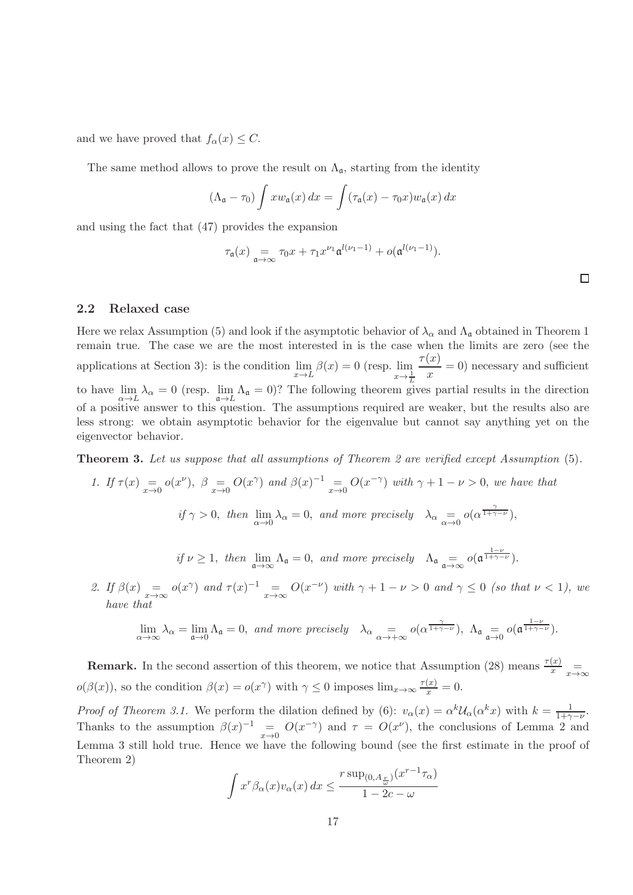and we have proved that  $f_{\alpha}(x) \leq C$ .

The same method allows to prove the result on  $\Lambda_{\mathfrak{a}}$ , starting from the identity

$$
(\Lambda_{\mathfrak{a}} - \tau_0) \int x w_{\mathfrak{a}}(x) dx = \int (\tau_{\mathfrak{a}}(x) - \tau_0 x) w_{\mathfrak{a}}(x) dx
$$

and using the fact that (47) provides the expansion

$$
\tau_{\mathfrak{a}}(x) \underset{\mathfrak{a}\to\infty}{=} \tau_0 x + \tau_1 x^{\nu_1} \mathfrak{a}^{l(\nu_1-1)} + o(\mathfrak{a}^{l(\nu_1-1)}).
$$

#### 2.2 Relaxed case

Here we relax Assumption (5) and look if the asymptotic behavior of  $\lambda_{\alpha}$  and  $\Lambda_{\mathfrak{a}}$  obtained in Theorem 1 remain true. The case we are the most interested in is the case when the limits are zero (see the applications at Section 3): is the condition  $\lim_{x\to L} \beta(x) = 0$  (resp.  $\lim_{x\to \frac{1}{2}}$  $x \rightarrow \frac{1}{L}$  $\tau(x)$  $\frac{f(x)}{x} = 0$  necessary and sufficient to have  $\lim_{\alpha \to L} \lambda_{\alpha} = 0$  (resp.  $\lim_{\alpha \to L} \Lambda_{\alpha} = 0$ )? The following theorem gives partial results in the direction of a positive answer to this question. The assumptions required are weaker, but the results also are less strong: we obtain asymptotic behavior for the eigenvalue but cannot say anything yet on the eigenvector behavior.

Theorem 3. Let us suppose that all assumptions of Theorem 2 are verified except Assumption (5).

1. If 
$$
\tau(x) = o(x^{\nu})
$$
,  $\beta = O(x^{\gamma})$  and  $\beta(x)^{-1} = O(x^{-\gamma})$  with  $\gamma + 1 - \nu > 0$ , we have that  
\n $if \gamma > 0$ , then  $\lim_{\alpha \to 0} \lambda_{\alpha} = 0$ , and more precisely  $\lambda_{\alpha} = o(\alpha^{\frac{\gamma}{1 + \gamma - \nu}})$ ,

if 
$$
\nu \ge 1
$$
, then  $\lim_{\mathfrak{a}\to\infty} \Lambda_{\mathfrak{a}} = 0$ , and more precisely  $\Lambda_{\mathfrak{a}} \underset{\mathfrak{a}\to\infty}{=} o(\mathfrak{a}^{\frac{1-\nu}{1+\gamma-\nu}})$ .

2. If 
$$
\beta(x) = o(x^{\gamma})
$$
 and  $\tau(x)^{-1} = O(x^{-\nu})$  with  $\gamma + 1 - \nu > 0$  and  $\gamma \le 0$  (so that  $\nu < 1$ ), we have that

$$
\lim_{\alpha \to \infty} \lambda_{\alpha} = \lim_{\mathfrak{a} \to 0} \Lambda_{\mathfrak{a}} = 0, \text{ and more precisely } \lambda_{\alpha} = \infty \text{ of } \alpha^{\frac{\gamma}{1 + \gamma - \nu}}\text{, } \Lambda_{\mathfrak{a}} = \infty \text{ of } \alpha^{\frac{1 - \nu}{1 + \gamma - \nu}}\text{.}
$$

**Remark.** In the second assertion of this theorem, we notice that Assumption (28) means  $\frac{\tau(x)}{x}$   $\frac{1}{x \to \infty}$  $o(\beta(x))$ , so the condition  $\beta(x) = o(x^{\gamma})$  with  $\gamma \leq 0$  imposes  $\lim_{x \to \infty} \frac{\tau(x)}{x} = 0$ .

Proof of Theorem 3.1. We perform the dilation defined by (6):  $v_{\alpha}(x) = \alpha^{k} \mathcal{U}_{\alpha}(\alpha^{k} x)$  with  $k = \frac{1}{1+\gamma-\nu}$ . Thanks to the assumption  $\beta(x)^{-1} = O(x^{-\gamma})$  and  $\tau = O(x^{\nu})$ , the conclusions of Lemma 2 and Lemma 3 still hold true. Hence we have the following bound (see the first estimate in the proof of Theorem 2)

$$
\int x^r \beta_\alpha(x) v_\alpha(x) dx \le \frac{r \sup_{(0, A_x)} (x^{r-1} \tau_\alpha)}{1 - 2c - \omega}
$$

 $\Box$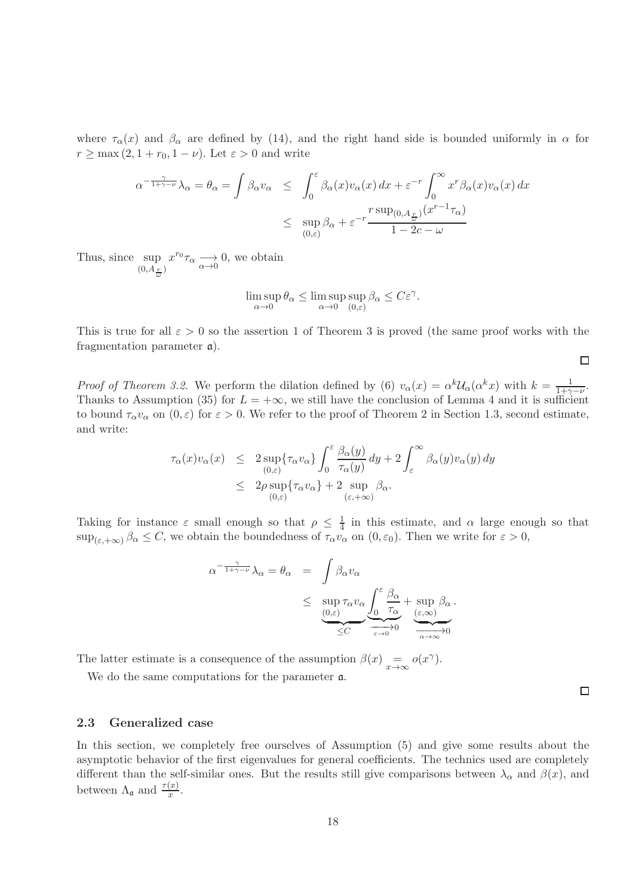where  $\tau_{\alpha}(x)$  and  $\beta_{\alpha}$  are defined by (14), and the right hand side is bounded uniformly in  $\alpha$  for  $r \geq \max(2, 1 + r_0, 1 - \nu)$ . Let  $\varepsilon > 0$  and write

$$
\alpha^{-\frac{\gamma}{1+\gamma-\nu}}\lambda_{\alpha} = \theta_{\alpha} = \int \beta_{\alpha}v_{\alpha} \leq \int_{0}^{\varepsilon} \beta_{\alpha}(x)v_{\alpha}(x) dx + \varepsilon^{-r} \int_{0}^{\infty} x^{r} \beta_{\alpha}(x)v_{\alpha}(x) dx
$$

$$
\leq \sup_{(0,\varepsilon)} \beta_{\alpha} + \varepsilon^{-r} \frac{r \sup_{(0,A_{\frac{r}{\omega}})} (x^{r-1}\tau_{\alpha})}{1 - 2c - \omega}
$$

Thus, since sup  $(0, A_{\frac{r}{\omega}})$  $x^{r_0}\tau_\alpha \longrightarrow 0$ , we obtain

$$
\limsup_{\alpha \to 0} \theta_{\alpha} \le \limsup_{\alpha \to 0} \sup_{(0,\varepsilon)} \beta_{\alpha} \le C\varepsilon^{\gamma}.
$$

This is true for all  $\varepsilon > 0$  so the assertion 1 of Theorem 3 is proved (the same proof works with the fragmentation parameter a).

 $\Box$ 

 $\Box$ 

*Proof of Theorem 3.2.* We perform the dilation defined by (6)  $v_{\alpha}(x) = \alpha^{k} \mathcal{U}_{\alpha}(\alpha^{k} x)$  with  $k = \frac{1}{1+\gamma}$  $\frac{1}{1+\gamma-\nu}$ . Thanks to Assumption (35) for  $L = +\infty$ , we still have the conclusion of Lemma 4 and it is sufficient to bound  $\tau_{\alpha}v_{\alpha}$  on  $(0,\varepsilon)$  for  $\varepsilon > 0$ . We refer to the proof of Theorem 2 in Section 1.3, second estimate, and write:

$$
\tau_{\alpha}(x)v_{\alpha}(x) \leq 2 \sup_{(0,\varepsilon)} \{\tau_{\alpha}v_{\alpha}\}\int_{0}^{\varepsilon} \frac{\beta_{\alpha}(y)}{\tau_{\alpha}(y)} dy + 2 \int_{\varepsilon}^{\infty} \beta_{\alpha}(y)v_{\alpha}(y) dy \n\leq 2\rho \sup_{(0,\varepsilon)} \{\tau_{\alpha}v_{\alpha}\} + 2 \sup_{(\varepsilon,+\infty)} \beta_{\alpha}.
$$

Taking for instance  $\varepsilon$  small enough so that  $\rho \leq \frac{1}{4}$  $\frac{1}{4}$  in this estimate, and  $\alpha$  large enough so that  $\sup_{(\varepsilon,+\infty)} \beta_\alpha \leq C$ , we obtain the boundedness of  $\tau_\alpha v_\alpha$  on  $(0,\varepsilon_0)$ . Then we write for  $\varepsilon > 0$ ,

$$
\alpha^{-\frac{\gamma}{1+\gamma-\nu}}\lambda_{\alpha} = \theta_{\alpha} = \int \beta_{\alpha}v_{\alpha} \le \sup_{\substack{(0,\varepsilon) \\ \le C}} \tau_{\alpha}v_{\alpha} \underbrace{\int_{0}^{\varepsilon} \frac{\beta_{\alpha}}{\tau_{\alpha}}}_{\varepsilon \to 0} + \sup_{\substack{(\varepsilon,\infty) \\ \alpha \to \infty}} \beta_{\alpha}.
$$

The latter estimate is a consequence of the assumption  $\beta(x) = o(x^{\gamma})$ .

We do the same computations for the parameter a.

#### 2.3 Generalized case

In this section, we completely free ourselves of Assumption (5) and give some results about the asymptotic behavior of the first eigenvalues for general coefficients. The technics used are completely different than the self-similar ones. But the results still give comparisons between  $\lambda_{\alpha}$  and  $\beta(x)$ , and between  $\Lambda_{\mathfrak{a}}$  and  $\frac{\tau(x)}{x}$ .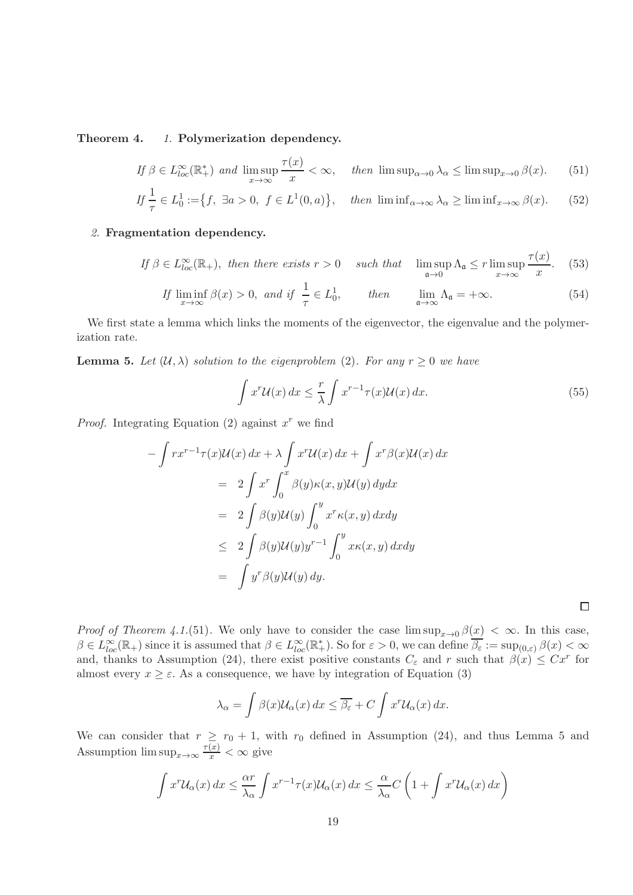Theorem 4. 1. Polymerization dependency.

$$
\text{If } \beta \in L_{loc}^{\infty}(\mathbb{R}_+^*) \text{ and } \limsup_{x \to \infty} \frac{\tau(x)}{x} < \infty, \quad \text{then } \limsup_{\alpha \to 0} \lambda_\alpha \le \limsup_{x \to 0} \beta(x). \tag{51}
$$

$$
If \frac{1}{\tau} \in L_0^1 := \{ f, \exists a > 0, \ f \in L^1(0, a) \}, \quad then \ \liminf_{\alpha \to \infty} \lambda_\alpha \ge \liminf_{x \to \infty} \beta(x). \tag{52}
$$

#### 2. Fragmentation dependency.

$$
\text{If } \beta \in L_{loc}^{\infty}(\mathbb{R}_+), \text{ then there exists } r > 0 \quad \text{ such that } \limsup_{\mathfrak{a} \to 0} \Lambda_{\mathfrak{a}} \le r \limsup_{x \to \infty} \frac{\tau(x)}{x}.\tag{53}
$$

$$
If \liminf_{x \to \infty} \beta(x) > 0, \text{ and if } \frac{1}{\tau} \in L_0^1, \qquad then \qquad \lim_{\mathfrak{a} \to \infty} \Lambda_{\mathfrak{a}} = +\infty. \tag{54}
$$

We first state a lemma which links the moments of the eigenvector, the eigenvalue and the polymerization rate.

**Lemma 5.** Let  $(\mathcal{U}, \lambda)$  solution to the eigenproblem (2). For any  $r \geq 0$  we have

$$
\int x^r \mathcal{U}(x) dx \le \frac{r}{\lambda} \int x^{r-1} \tau(x) \mathcal{U}(x) dx.
$$
\n(55)

*Proof.* Integrating Equation (2) against  $x^r$  we find

$$
-\int rx^{r-1}\tau(x)\mathcal{U}(x) dx + \lambda \int x^r \mathcal{U}(x) dx + \int x^r \beta(x)\mathcal{U}(x) dx
$$
  

$$
= 2 \int x^r \int_0^x \beta(y)\kappa(x,y)\mathcal{U}(y) dy dx
$$
  

$$
= 2 \int \beta(y)\mathcal{U}(y) \int_0^y x^r \kappa(x,y) dx dy
$$
  

$$
\leq 2 \int \beta(y)\mathcal{U}(y)y^{r-1} \int_0^y x\kappa(x,y) dx dy
$$
  

$$
= \int y^r \beta(y)\mathcal{U}(y) dy.
$$

*Proof of Theorem 4.1.*(51). We only have to consider the case  $\limsup_{x\to 0} \beta(x) < \infty$ . In this case,  $\beta \in L^{\infty}_{loc}(\mathbb{R}_+)$  since it is assumed that  $\beta \in L^{\infty}_{loc}(\mathbb{R}^*_+)$ . So for  $\varepsilon > 0$ , we can define  $\overline{\beta_{\varepsilon}} := \sup_{(0,\varepsilon)} \beta(x) < \infty$ and, thanks to Assumption (24), there exist positive constants  $C_{\varepsilon}$  and r such that  $\beta(x) \leq Cx^{r}$  for almost every  $x \geq \varepsilon$ . As a consequence, we have by integration of Equation (3)

$$
\lambda_{\alpha} = \int \beta(x) \mathcal{U}_{\alpha}(x) dx \leq \overline{\beta_{\varepsilon}} + C \int x^{r} \mathcal{U}_{\alpha}(x) dx.
$$

We can consider that  $r \geq r_0 + 1$ , with  $r_0$  defined in Assumption (24), and thus Lemma 5 and Assumption  $\limsup_{x\to\infty} \frac{\tau(x)}{x} < \infty$  give

$$
\int x^r u_\alpha(x) dx \leq \frac{\alpha r}{\lambda_\alpha} \int x^{r-1} \tau(x) u_\alpha(x) dx \leq \frac{\alpha}{\lambda_\alpha} C \left( 1 + \int x^r u_\alpha(x) dx \right)
$$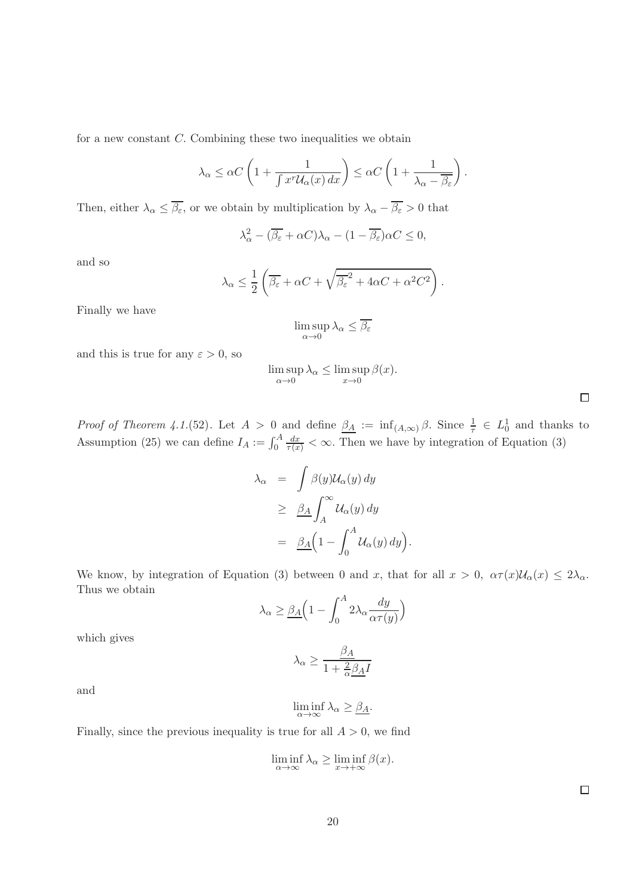for a new constant C. Combining these two inequalities we obtain

$$
\lambda_{\alpha} \leq \alpha C \left( 1 + \frac{1}{\int x^r \mathcal{U}_{\alpha}(x) dx} \right) \leq \alpha C \left( 1 + \frac{1}{\lambda_{\alpha} - \overline{\beta_{\varepsilon}}} \right).
$$

Then, either  $\lambda_{\alpha} \le \overline{\beta_{\varepsilon}}$ , or we obtain by multiplication by  $\lambda_{\alpha} - \overline{\beta_{\varepsilon}} > 0$  that

$$
\lambda_{\alpha}^{2} - (\overline{\beta_{\varepsilon}} + \alpha C)\lambda_{\alpha} - (1 - \overline{\beta_{\varepsilon}})\alpha C \le 0,
$$

and so

$$
\lambda_{\alpha} \le \frac{1}{2} \left( \overline{\beta_{\varepsilon}} + \alpha C + \sqrt{\overline{\beta_{\varepsilon}}^2 + 4\alpha C + \alpha^2 C^2} \right).
$$

Finally we have

$$
\limsup_{\alpha \to 0} \lambda_{\alpha} \le \overline{\beta_{\varepsilon}}
$$

and this is true for any  $\varepsilon > 0$ , so

$$
\limsup_{\alpha \to 0} \lambda_{\alpha} \le \limsup_{x \to 0} \beta(x).
$$

| <i>Proof of Theorem 4.1.</i> (52). Let $A > 0$ and define $\beta_A := \inf_{(A,\infty)} \beta$ . Since $\frac{1}{\tau} \in L_0^1$ and thanks to |
|-------------------------------------------------------------------------------------------------------------------------------------------------|
| Assumption (25) we can define $I_A := \int_0^A \frac{dx}{\tau(x)} < \infty$ . Then we have by integration of Equation (3)                       |

$$
\lambda_{\alpha} = \int \beta(y) \mathcal{U}_{\alpha}(y) dy
$$
  
\n
$$
\geq \underline{\beta_A} \int_A^{\infty} \mathcal{U}_{\alpha}(y) dy
$$
  
\n
$$
= \underline{\beta_A} \Big( 1 - \int_0^A \mathcal{U}_{\alpha}(y) dy \Big)
$$

.

We know, by integration of Equation (3) between 0 and x, that for all  $x > 0$ ,  $\alpha \tau(x) \mathcal{U}_{\alpha}(x) \leq 2\lambda_{\alpha}$ . Thus we obtain

$$
\lambda_{\alpha} \geq \underline{\beta_{A}} \Big( 1 - \int_{0}^{A} 2\lambda_{\alpha} \frac{dy}{\alpha \tau(y)} \Big)
$$

which gives

$$
\lambda_{\alpha} \ge \frac{\beta_A}{1 + \frac{2}{\alpha} \beta_A I}
$$

and

$$
\liminf_{\alpha \to \infty} \lambda_{\alpha} \ge \underline{\beta_A}.
$$

Finally, since the previous inequality is true for all  $A > 0$ , we find

$$
\liminf_{\alpha \to \infty} \lambda_{\alpha} \ge \liminf_{x \to +\infty} \beta(x).
$$

 $\Box$ 

 $\Box$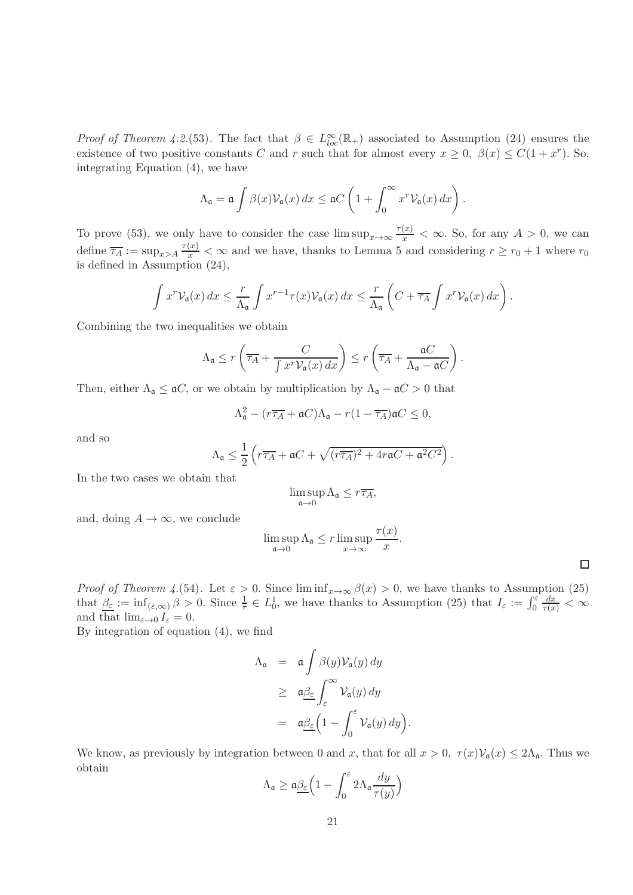*Proof of Theorem 4.2.*(53). The fact that  $\beta \in L^{\infty}_{loc}(\mathbb{R}_{+})$  associated to Assumption (24) ensures the existence of two positive constants C and r such that for almost every  $x \ge 0$ ,  $\beta(x) \le C(1+x^r)$ . So, integrating Equation (4), we have

$$
\Lambda_{\mathfrak{a}} = \mathfrak{a} \int \beta(x) \mathcal{V}_{\mathfrak{a}}(x) dx \leq \mathfrak{a} C \left( 1 + \int_0^\infty x^r \mathcal{V}_{\mathfrak{a}}(x) dx \right).
$$

To prove (53), we only have to consider the case  $\limsup_{x\to\infty} \frac{\tau(x)}{x} < \infty$ . So, for any  $A > 0$ , we can define  $\overline{\tau_A} := \sup_{x>A} \frac{\tau(x)}{x} < \infty$  and we have, thanks to Lemma 5 and considering  $r \ge r_0 + 1$  where  $r_0$ is defined in Assumption (24),

$$
\int x^r \mathcal{V}_\mathfrak{a}(x) dx \leq \frac{r}{\Lambda_\mathfrak{a}} \int x^{r-1} \tau(x) \mathcal{V}_\mathfrak{a}(x) dx \leq \frac{r}{\Lambda_\mathfrak{a}} \left( C + \overline{\tau_A} \int x^r \mathcal{V}_\mathfrak{a}(x) dx \right).
$$

Combining the two inequalities we obtain

$$
\Lambda_{\mathfrak{a}} \le r \left( \overline{\tau_A} + \frac{C}{\int x^r \mathcal{V}_{\mathfrak{a}}(x) dx} \right) \le r \left( \overline{\tau_A} + \frac{\mathfrak{a} C}{\Lambda_{\mathfrak{a}} - \mathfrak{a} C} \right).
$$

Then, either  $\Lambda_{\mathfrak{a}} \leq \mathfrak{a}C$ , or we obtain by multiplication by  $\Lambda_{\mathfrak{a}} - \mathfrak{a}C > 0$  that

$$
\Lambda_{\mathfrak{a}}^2 - (r\overline{\tau_A} + \mathfrak{a}C)\Lambda_{\mathfrak{a}} - r(1 - \overline{\tau_A})\mathfrak{a}C \le 0,
$$

and so

$$
\Lambda_{\mathfrak{a}} \leq \frac{1}{2} \left( r \overline{\tau_A} + \mathfrak{a} C + \sqrt{(r \overline{\tau_A})^2 + 4r \mathfrak{a} C + \mathfrak{a}^2 C^2} \right).
$$

In the two cases we obtain that

$$
\limsup_{\mathfrak{a} \to 0} \Lambda_{\mathfrak{a}} \leq r\overline{\tau_A},
$$

and, doing  $A \rightarrow \infty$ , we conclude

$$
\limsup_{\mathfrak{a}\to 0} \Lambda_{\mathfrak{a}} \leq r \limsup_{x\to\infty} \frac{\tau(x)}{x}.
$$

 $\Box$ 

*Proof of Theorem 4.*(54). Let  $\varepsilon > 0$ . Since  $\liminf_{x\to\infty} \beta(x) > 0$ , we have thanks to Assumption (25) that  $\underline{\beta_{\varepsilon}} := \inf_{(\varepsilon,\infty)} \beta > 0$ . Since  $\frac{1}{\tau} \in L_0^1$ , we have thanks to Assumption (25) that  $I_{\varepsilon} := \int_0^{\varepsilon}$  $\frac{dx}{\tau(x)} < \infty$ and that  $\lim_{\varepsilon\to 0}I_\varepsilon=0.$ 

By integration of equation (4), we find

$$
\Lambda_{\mathfrak{a}} = \mathfrak{a} \int \beta(y) \mathcal{V}_{\mathfrak{a}}(y) dy
$$
  
\n
$$
\geq \mathfrak{a} \underline{\beta_{\varepsilon}} \int_{\varepsilon}^{\infty} \mathcal{V}_{\mathfrak{a}}(y) dy
$$
  
\n
$$
= \mathfrak{a} \underline{\beta_{\varepsilon}} \Big( 1 - \int_{0}^{\varepsilon} \mathcal{V}_{\mathfrak{a}}(y) dy \Big).
$$

We know, as previously by integration between 0 and x, that for all  $x > 0$ ,  $\tau(x) \mathcal{V}_a(x) \leq 2\Lambda_a$ . Thus we obtain

$$
\Lambda_{\mathfrak{a}} \geq \mathfrak{a} \underline{\beta_{\varepsilon}} \Big( 1 - \int_0^{\varepsilon} 2\Lambda_{\mathfrak{a}} \frac{dy}{\tau(y)} \Big)
$$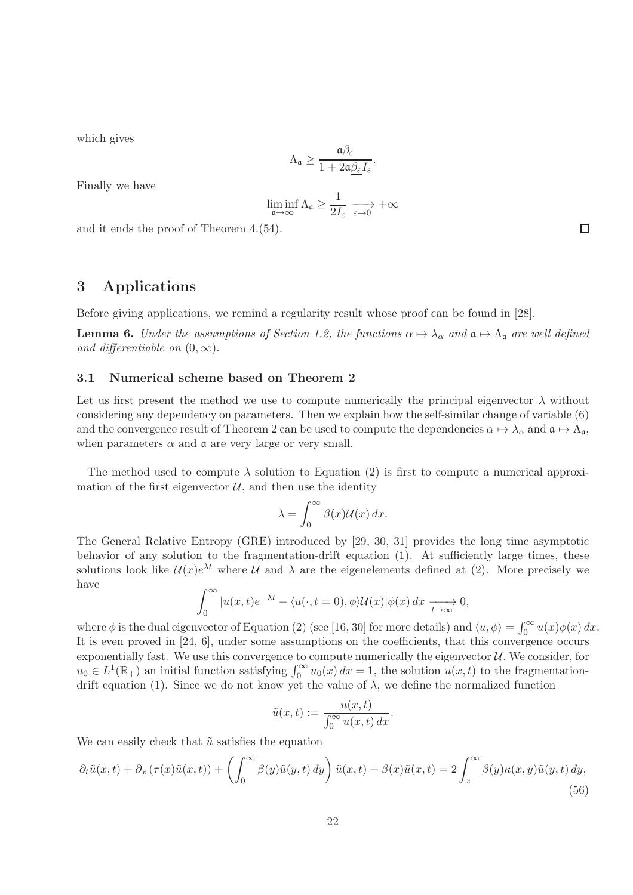which gives

$$
\Lambda_{\mathfrak{a}} \geq \frac{\mathfrak{a} \beta_{\varepsilon}}{1+2\mathfrak{a} \beta_{\varepsilon} I_{\varepsilon}}.
$$

Finally we have

$$
\liminf_{\mathfrak{a} \to \infty} \Lambda_{\mathfrak{a}} \geq \frac{1}{2 I_{\varepsilon}} \xrightarrow[\varepsilon \to 0]{} + \infty
$$

and it ends the proof of Theorem 4.(54).

# 3 Applications

Before giving applications, we remind a regularity result whose proof can be found in [28].

**Lemma 6.** Under the assumptions of Section 1.2, the functions  $\alpha \mapsto \lambda_{\alpha}$  and  $\mathfrak{a} \mapsto \Lambda_{\mathfrak{a}}$  are well defined and differentiable on  $(0, \infty)$ .

#### 3.1 Numerical scheme based on Theorem 2

Let us first present the method we use to compute numerically the principal eigenvector  $\lambda$  without considering any dependency on parameters. Then we explain how the self-similar change of variable (6) and the convergence result of Theorem 2 can be used to compute the dependencies  $\alpha \mapsto \lambda_{\alpha}$  and  $\mathfrak{a} \mapsto \Lambda_{\mathfrak{a}}$ , when parameters  $\alpha$  and  $\alpha$  are very large or very small.

The method used to compute  $\lambda$  solution to Equation (2) is first to compute a numerical approximation of the first eigenvector  $U$ , and then use the identity

$$
\lambda = \int_0^\infty \beta(x) \mathcal{U}(x) \, dx.
$$

The General Relative Entropy (GRE) introduced by [29, 30, 31] provides the long time asymptotic behavior of any solution to the fragmentation-drift equation (1). At sufficiently large times, these solutions look like  $\mathcal{U}(x)e^{\lambda t}$  where  $\mathcal{U}$  and  $\lambda$  are the eigenelements defined at (2). More precisely we have

$$
\int_0^\infty |u(x,t)e^{-\lambda t} - \langle u(\cdot, t=0), \phi \rangle \mathcal{U}(x)|\phi(x) dx \xrightarrow[t \to \infty]{} 0,
$$

where  $\phi$  is the dual eigenvector of Equation (2) (see [16, 30] for more details) and  $\langle u, \phi \rangle = \int_0^\infty u(x) \phi(x) dx$ . It is even proved in [24, 6], under some assumptions on the coefficients, that this convergence occurs exponentially fast. We use this convergence to compute numerically the eigenvector  $U$ . We consider, for  $u_0 \in L^1(\mathbb{R}_+)$  an initial function satisfying  $\int_0^\infty u_0(x) dx = 1$ , the solution  $u(x, t)$  to the fragmentationdrift equation (1). Since we do not know yet the value of  $\lambda$ , we define the normalized function

$$
\tilde{u}(x,t) := \frac{u(x,t)}{\int_0^\infty u(x,t) \, dx}.
$$

We can easily check that  $\tilde{u}$  satisfies the equation

$$
\partial_t \tilde{u}(x,t) + \partial_x \left( \tau(x)\tilde{u}(x,t) \right) + \left( \int_0^\infty \beta(y)\tilde{u}(y,t) \, dy \right) \tilde{u}(x,t) + \beta(x)\tilde{u}(x,t) = 2 \int_x^\infty \beta(y)\kappa(x,y)\tilde{u}(y,t) \, dy,
$$
\n(56)

 $\Box$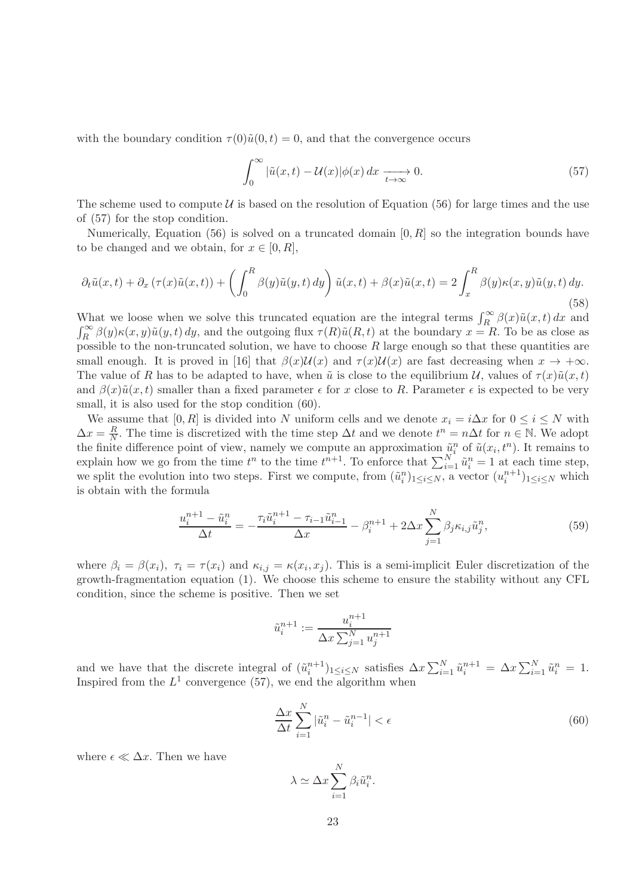with the boundary condition  $\tau(0)\tilde{u}(0,t) = 0$ , and that the convergence occurs

$$
\int_0^\infty |\tilde{u}(x,t) - \mathcal{U}(x)| \phi(x) dx \xrightarrow[t \to \infty]{} 0.
$$
 (57)

The scheme used to compute  $\mathcal U$  is based on the resolution of Equation (56) for large times and the use of (57) for the stop condition.

Numerically, Equation (56) is solved on a truncated domain  $[0, R]$  so the integration bounds have to be changed and we obtain, for  $x \in [0, R]$ ,

$$
\partial_t \tilde{u}(x,t) + \partial_x \left(\tau(x)\tilde{u}(x,t)\right) + \left(\int_0^R \beta(y)\tilde{u}(y,t) \, dy\right) \tilde{u}(x,t) + \beta(x)\tilde{u}(x,t) = 2 \int_x^R \beta(y)\kappa(x,y)\tilde{u}(y,t) \, dy. \tag{58}
$$

What we loose when we solve this truncated equation are the integral terms  $\int_R^{\infty} \beta(x) \tilde{u}(x,t) dx$  and  $\int_R^{\infty} \beta(y) \kappa(x, y) \tilde{u}(y, t) dy$ , and the outgoing flux  $\tau(R) \tilde{u}(R, t)$  at the boundary  $x = R$ . To be as close as possible to the non-truncated solution, we have to choose  $R$  large enough so that these quantities are small enough. It is proved in [16] that  $\beta(x)\mathcal{U}(x)$  and  $\tau(x)\mathcal{U}(x)$  are fast decreasing when  $x \to +\infty$ . The value of R has to be adapted to have, when  $\tilde{u}$  is close to the equilibrium U, values of  $\tau(x)\tilde{u}(x,t)$ and  $\beta(x)\tilde{u}(x,t)$  smaller than a fixed parameter  $\epsilon$  for x close to R. Parameter  $\epsilon$  is expected to be very small, it is also used for the stop condition (60).

We assume that [0, R] is divided into N uniform cells and we denote  $x_i = i\Delta x$  for  $0 \le i \le N$  with  $\Delta x = \frac{R}{N}$  $\frac{R}{N}$ . The time is discretized with the time step  $\Delta t$  and we denote  $t^n = n\Delta t$  for  $n \in \mathbb{N}$ . We adopt the finite difference point of view, namely we compute an approximation  $\tilde{u}_i^n$  of  $\tilde{u}(x_i, t^n)$ . It remains to explain how we go from the time  $t^n$  to the time  $t^{n+1}$ . To enforce that  $\sum_{i=1}^N \tilde{u}_i^n = 1$  at each time step, we split the evolution into two steps. First we compute, from  $(\tilde{u}_i^n)_{1 \leq i \leq N}$ , a vector  $(u_i^{n+1})_{1 \leq i \leq N}$  which is obtain with the formula

$$
\frac{u_i^{n+1} - \tilde{u}_i^n}{\Delta t} = -\frac{\tau_i \tilde{u}_i^{n+1} - \tau_{i-1} \tilde{u}_{i-1}^n}{\Delta x} - \beta_i^{n+1} + 2\Delta x \sum_{j=1}^N \beta_j \kappa_{i,j} \tilde{u}_j^n,\tag{59}
$$

where  $\beta_i = \beta(x_i)$ ,  $\tau_i = \tau(x_i)$  and  $\kappa_{i,j} = \kappa(x_i, x_j)$ . This is a semi-implicit Euler discretization of the growth-fragmentation equation (1). We choose this scheme to ensure the stability without any CFL condition, since the scheme is positive. Then we set

$$
\tilde{u}_i^{n+1} := \frac{u_i^{n+1}}{\Delta x \sum_{j=1}^N u_j^{n+1}}
$$

and we have that the discrete integral of  $(\tilde{u}_i^{n+1})_{1 \leq i \leq N}$  satisfies  $\Delta x \sum_{i=1}^N \tilde{u}_i^{n+1} = \Delta x \sum_{i=1}^N \tilde{u}_i^n = 1$ . Inspired from the  $L^1$  convergence (57), we end the algorithm when

$$
\frac{\Delta x}{\Delta t} \sum_{i=1}^{N} |\tilde{u}_i^n - \tilde{u}_i^{n-1}| < \epsilon \tag{60}
$$

where  $\epsilon \ll \Delta x$ . Then we have

$$
\lambda \simeq \Delta x \sum_{i=1}^{N} \beta_i \tilde{u}_i^n.
$$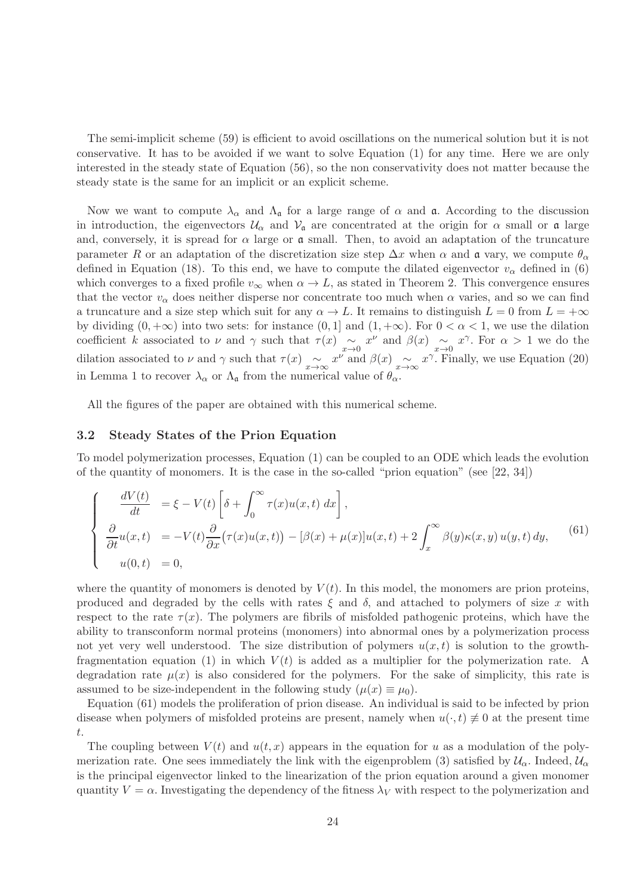The semi-implicit scheme (59) is efficient to avoid oscillations on the numerical solution but it is not conservative. It has to be avoided if we want to solve Equation (1) for any time. Here we are only interested in the steady state of Equation (56), so the non conservativity does not matter because the steady state is the same for an implicit or an explicit scheme.

Now we want to compute  $\lambda_{\alpha}$  and  $\Lambda_{\mathfrak{a}}$  for a large range of  $\alpha$  and  $\mathfrak{a}$ . According to the discussion in introduction, the eigenvectors  $U_{\alpha}$  and  $V_{\alpha}$  are concentrated at the origin for  $\alpha$  small or  $\alpha$  large and, conversely, it is spread for  $\alpha$  large or  $\alpha$  small. Then, to avoid an adaptation of the truncature parameter R or an adaptation of the discretization size step  $\Delta x$  when  $\alpha$  and  $\alpha$  vary, we compute  $\theta_{\alpha}$ defined in Equation (18). To this end, we have to compute the dilated eigenvector  $v_{\alpha}$  defined in (6) which converges to a fixed profile  $v_{\infty}$  when  $\alpha \to L$ , as stated in Theorem 2. This convergence ensures that the vector  $v_{\alpha}$  does neither disperse nor concentrate too much when  $\alpha$  varies, and so we can find a truncature and a size step which suit for any  $\alpha \to L$ . It remains to distinguish  $L = 0$  from  $L = +\infty$ by dividing  $(0, +\infty)$  into two sets: for instance  $(0, 1]$  and  $(1, +\infty)$ . For  $0 < \alpha < 1$ , we use the dilation coefficient k associated to  $\nu$  and  $\gamma$  such that  $\tau(x) \sim_{x\to 0} x^{\nu}$  and  $\beta(x) \sim_{x\to 0} x^{\gamma}$ . For  $\alpha > 1$  we do the dilation associated to  $\nu$  and  $\gamma$  such that  $\tau(x) \sim_{x \to \infty} x^{\nu}$  and  $\beta(x) \sim_{x \to \infty} x^{\gamma}$ . Finally, we use Equation (20) in Lemma 1 to recover  $\lambda_{\alpha}$  or  $\Lambda_{\mathfrak{a}}$  from the numerical value of  $\theta_{\alpha}$ .

All the figures of the paper are obtained with this numerical scheme.

#### 3.2 Steady States of the Prion Equation

To model polymerization processes, Equation (1) can be coupled to an ODE which leads the evolution of the quantity of monomers. It is the case in the so-called "prion equation" (see [22, 34])

$$
\begin{cases}\n\frac{dV(t)}{dt} = \xi - V(t) \left[ \delta + \int_0^\infty \tau(x) u(x, t) dx \right], \\
\frac{\partial}{\partial t} u(x, t) = -V(t) \frac{\partial}{\partial x} (\tau(x) u(x, t)) - [\beta(x) + \mu(x)] u(x, t) + 2 \int_x^\infty \beta(y) \kappa(x, y) u(y, t) dy,\n\end{cases} (61)
$$
\n
$$
u(0, t) = 0,
$$

where the quantity of monomers is denoted by  $V(t)$ . In this model, the monomers are prion proteins, produced and degraded by the cells with rates  $\xi$  and  $\delta$ , and attached to polymers of size x with respect to the rate  $\tau(x)$ . The polymers are fibrils of misfolded pathogenic proteins, which have the ability to transconform normal proteins (monomers) into abnormal ones by a polymerization process not yet very well understood. The size distribution of polymers  $u(x, t)$  is solution to the growthfragmentation equation (1) in which  $V(t)$  is added as a multiplier for the polymerization rate. A degradation rate  $\mu(x)$  is also considered for the polymers. For the sake of simplicity, this rate is assumed to be size-independent in the following study  $(\mu(x) \equiv \mu_0)$ .

Equation (61) models the proliferation of prion disease. An individual is said to be infected by prion disease when polymers of misfolded proteins are present, namely when  $u(\cdot, t) \neq 0$  at the present time t.

The coupling between  $V(t)$  and  $u(t, x)$  appears in the equation for u as a modulation of the polymerization rate. One sees immediately the link with the eigenproblem (3) satisfied by  $\mathcal{U}_{\alpha}$ . Indeed,  $\mathcal{U}_{\alpha}$ is the principal eigenvector linked to the linearization of the prion equation around a given monomer quantity  $V = \alpha$ . Investigating the dependency of the fitness  $\lambda_V$  with respect to the polymerization and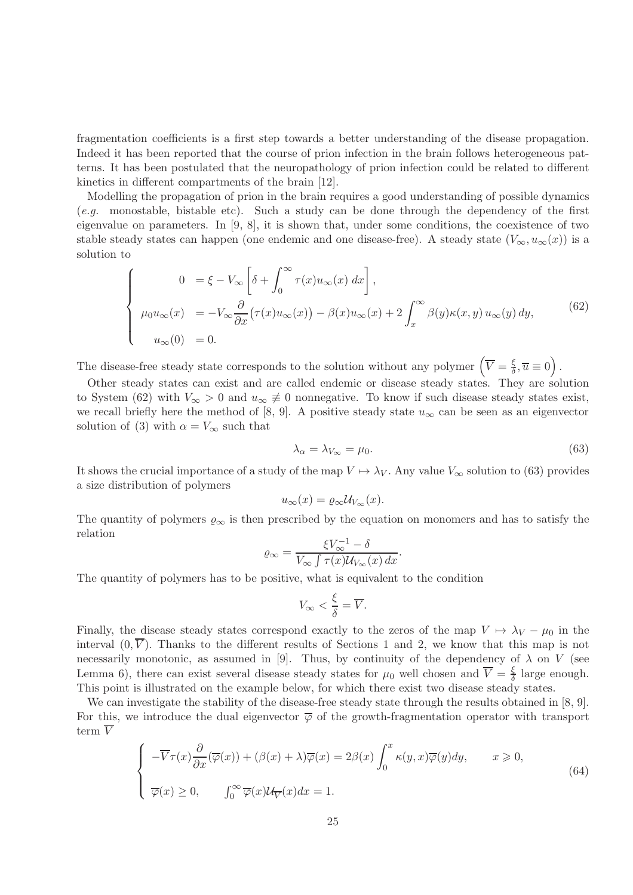fragmentation coefficients is a first step towards a better understanding of the disease propagation. Indeed it has been reported that the course of prion infection in the brain follows heterogeneous patterns. It has been postulated that the neuropathology of prion infection could be related to different kinetics in different compartments of the brain [12].

Modelling the propagation of prion in the brain requires a good understanding of possible dynamics (e.g. monostable, bistable etc). Such a study can be done through the dependency of the first eigenvalue on parameters. In [9, 8], it is shown that, under some conditions, the coexistence of two stable steady states can happen (one endemic and one disease-free). A steady state  $(V_{\infty}, u_{\infty}(x))$  is a solution to

$$
\begin{cases}\n0 &= \xi - V_{\infty} \left[ \delta + \int_0^{\infty} \tau(x) u_{\infty}(x) dx \right], \\
\mu_0 u_{\infty}(x) &= -V_{\infty} \frac{\partial}{\partial x} (\tau(x) u_{\infty}(x)) - \beta(x) u_{\infty}(x) + 2 \int_x^{\infty} \beta(y) \kappa(x, y) u_{\infty}(y) dy, \\
u_{\infty}(0) &= 0.\n\end{cases}
$$
\n(62)

The disease-free steady state corresponds to the solution without any polymer  $\left(\overline{V} = \frac{\xi}{\delta}\right)$  $\frac{\xi}{\delta}, \overline{u} \equiv 0.$ 

Other steady states can exist and are called endemic or disease steady states. They are solution to System (62) with  $V_{\infty} > 0$  and  $u_{\infty} \neq 0$  nonnegative. To know if such disease steady states exist, we recall briefly here the method of [8, 9]. A positive steady state  $u_{\infty}$  can be seen as an eigenvector solution of (3) with  $\alpha = V_{\infty}$  such that

$$
\lambda_{\alpha} = \lambda_{V_{\infty}} = \mu_0. \tag{63}
$$

It shows the crucial importance of a study of the map  $V \mapsto \lambda_V$ . Any value  $V_{\infty}$  solution to (63) provides a size distribution of polymers

$$
u_{\infty}(x) = \varrho_{\infty} \mathcal{U}_{V_{\infty}}(x).
$$

The quantity of polymers  $\varrho_{\infty}$  is then prescribed by the equation on monomers and has to satisfy the relation

$$
\varrho_{\infty} = \frac{\xi V_{\infty}^{-1} - \delta}{V_{\infty} \int \tau(x) \mathcal{U}_{V_{\infty}}(x) dx}.
$$

The quantity of polymers has to be positive, what is equivalent to the condition

$$
V_{\infty} < \frac{\xi}{\delta} = \overline{V}.
$$

Finally, the disease steady states correspond exactly to the zeros of the map  $V \mapsto \lambda_V - \mu_0$  in the interval  $(0, \overline{V})$ . Thanks to the different results of Sections 1 and 2, we know that this map is not necessarily monotonic, as assumed in [9]. Thus, by continuity of the dependency of  $\lambda$  on V (see Lemma 6), there can exist several disease steady states for  $\mu_0$  well chosen and  $\overline{V} = \frac{\xi}{\delta}$  $\frac{\xi}{\delta}$  large enough. This point is illustrated on the example below, for which there exist two disease steady states.

We can investigate the stability of the disease-free steady state through the results obtained in [8, 9]. For this, we introduce the dual eigenvector  $\overline{\varphi}$  of the growth-fragmentation operator with transport term  $\overline{V}$ 

$$
\begin{cases}\n-\overline{V}\tau(x)\frac{\partial}{\partial x}(\overline{\varphi}(x)) + (\beta(x) + \lambda)\overline{\varphi}(x) = 2\beta(x)\int_0^x \kappa(y,x)\overline{\varphi}(y)dy, & x \ge 0, \\
\overline{\varphi}(x) \ge 0, & \int_0^\infty \overline{\varphi}(x)\mathcal{U}_{\overline{V}}(x)dx = 1.\n\end{cases}
$$
\n(64)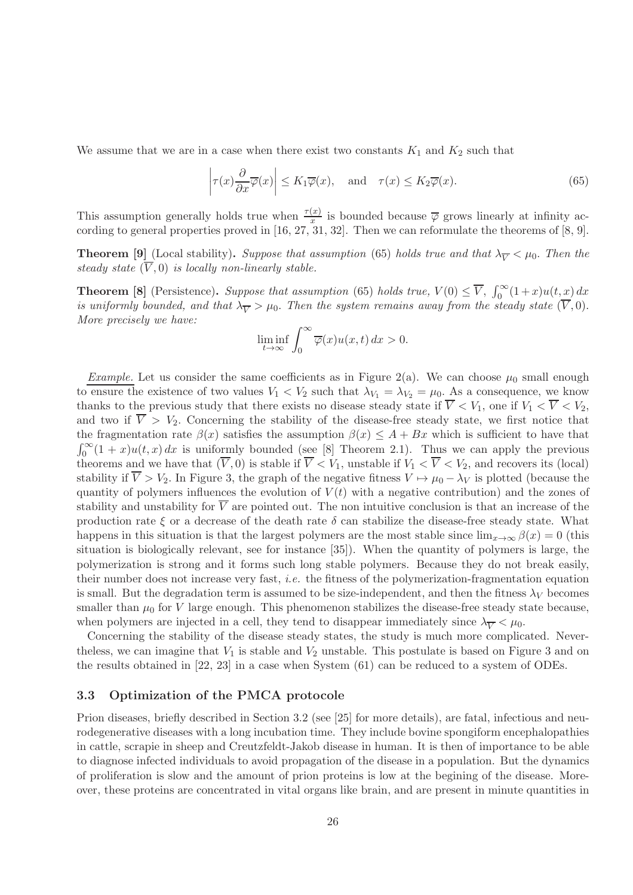We assume that we are in a case when there exist two constants  $K_1$  and  $K_2$  such that

$$
\left|\tau(x)\frac{\partial}{\partial x}\overline{\varphi}(x)\right| \le K_1\overline{\varphi}(x), \quad \text{and} \quad \tau(x) \le K_2\overline{\varphi}(x). \tag{65}
$$

This assumption generally holds true when  $\frac{\tau(x)}{x}$  is bounded because  $\overline{\varphi}$  grows linearly at infinity according to general properties proved in [16, 27, 31, 32]. Then we can reformulate the theorems of [8, 9].

**Theorem [9]** (Local stability). Suppose that assumption (65) holds true and that  $\lambda_{\overline{V}} < \mu_0$ . Then the steady state  $(\overline{V}, 0)$  is locally non-linearly stable.

**Theorem [8]** (Persistence). Suppose that assumption (65) holds true,  $V(0) \leq \overline{V}$ ,  $\int_0^\infty (1+x)u(t,x) dx$ is uniformly bounded, and that  $\lambda_{\overline{V}} > \mu_0$ . Then the system remains away from the steady state  $(\overline{V}, 0)$ . More precisely we have:

$$
\liminf_{t \to \infty} \int_0^\infty \overline{\varphi}(x) u(x, t) \, dx > 0.
$$

*Example.* Let us consider the same coefficients as in Figure 2(a). We can choose  $\mu_0$  small enough to ensure the existence of two values  $V_1 < V_2$  such that  $\lambda_{V_1} = \lambda_{V_2} = \mu_0$ . As a consequence, we know thanks to the previous study that there exists no disease steady state if  $\overline{V} < V_1$ , one if  $V_1 < \overline{V} < V_2$ , and two if  $\overline{V} > V_2$ . Concerning the stability of the disease-free steady state, we first notice that the fragmentation rate  $\beta(x)$  satisfies the assumption  $\beta(x) \leq A + Bx$  which is sufficient to have that  $\int_0^\infty (1+x)u(t,x)\,dx$  is uniformly bounded (see [8] Theorem 2.1). Thus we can apply the previous theorems and we have that  $(V, 0)$  is stable if  $V < V_1$ , unstable if  $V_1 < V < V_2$ , and recovers its (local) stability if  $\overline{V} > V_2$ . In Figure 3, the graph of the negative fitness  $V \mapsto \mu_0 - \lambda_V$  is plotted (because the quantity of polymers influences the evolution of  $V(t)$  with a negative contribution) and the zones of stability and unstability for  $\overline{V}$  are pointed out. The non intuitive conclusion is that an increase of the production rate  $\xi$  or a decrease of the death rate  $\delta$  can stabilize the disease-free steady state. What happens in this situation is that the largest polymers are the most stable since  $\lim_{x\to\infty} \beta(x) = 0$  (this situation is biologically relevant, see for instance [35]). When the quantity of polymers is large, the polymerization is strong and it forms such long stable polymers. Because they do not break easily, their number does not increase very fast, i.e. the fitness of the polymerization-fragmentation equation is small. But the degradation term is assumed to be size-independent, and then the fitness  $\lambda_V$  becomes smaller than  $\mu_0$  for V large enough. This phenomenon stabilizes the disease-free steady state because, when polymers are injected in a cell, they tend to disappear immediately since  $\lambda_{\overline{Y}} < \mu_0$ .

Concerning the stability of the disease steady states, the study is much more complicated. Neverthe less, we can imagine that  $V_1$  is stable and  $V_2$  unstable. This postulate is based on Figure 3 and on the results obtained in [22, 23] in a case when System (61) can be reduced to a system of ODEs.

#### 3.3 Optimization of the PMCA protocole

Prion diseases, briefly described in Section 3.2 (see [25] for more details), are fatal, infectious and neurodegenerative diseases with a long incubation time. They include bovine spongiform encephalopathies in cattle, scrapie in sheep and Creutzfeldt-Jakob disease in human. It is then of importance to be able to diagnose infected individuals to avoid propagation of the disease in a population. But the dynamics of proliferation is slow and the amount of prion proteins is low at the begining of the disease. Moreover, these proteins are concentrated in vital organs like brain, and are present in minute quantities in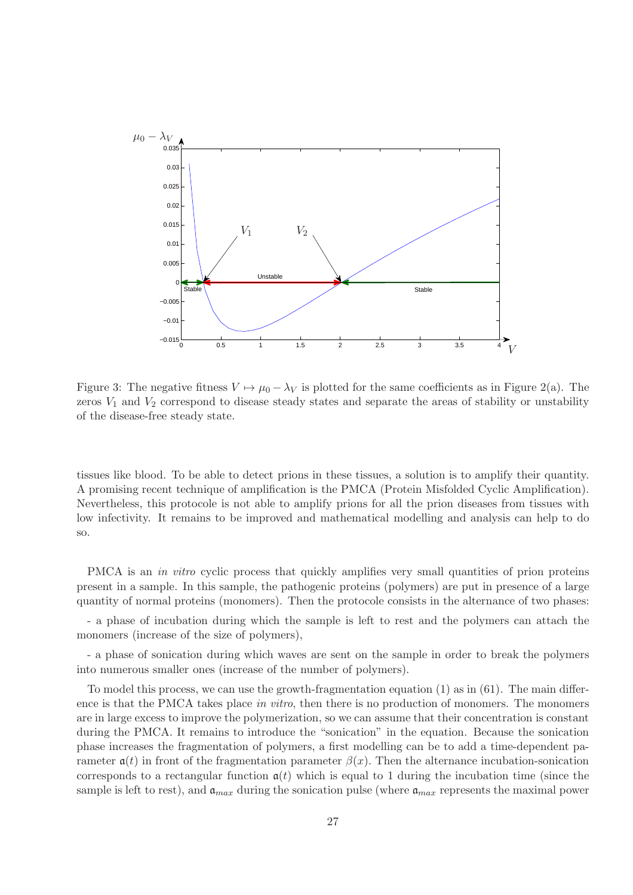

Figure 3: The negative fitness  $V \mapsto \mu_0 - \lambda_V$  is plotted for the same coefficients as in Figure 2(a). The zeros  $V_1$  and  $V_2$  correspond to disease steady states and separate the areas of stability or unstability of the disease-free steady state.

tissues like blood. To be able to detect prions in these tissues, a solution is to amplify their quantity. A promising recent technique of amplification is the PMCA (Protein Misfolded Cyclic Amplification). Nevertheless, this protocole is not able to amplify prions for all the prion diseases from tissues with low infectivity. It remains to be improved and mathematical modelling and analysis can help to do so.

PMCA is an *in vitro* cyclic process that quickly amplifies very small quantities of prion proteins present in a sample. In this sample, the pathogenic proteins (polymers) are put in presence of a large quantity of normal proteins (monomers). Then the protocole consists in the alternance of two phases:

- a phase of incubation during which the sample is left to rest and the polymers can attach the monomers (increase of the size of polymers),

- a phase of sonication during which waves are sent on the sample in order to break the polymers into numerous smaller ones (increase of the number of polymers).

To model this process, we can use the growth-fragmentation equation (1) as in (61). The main difference is that the PMCA takes place in vitro, then there is no production of monomers. The monomers are in large excess to improve the polymerization, so we can assume that their concentration is constant during the PMCA. It remains to introduce the "sonication" in the equation. Because the sonication phase increases the fragmentation of polymers, a first modelling can be to add a time-dependent parameter  $a(t)$  in front of the fragmentation parameter  $\beta(x)$ . Then the alternance incubation-sonication corresponds to a rectangular function  $a(t)$  which is equal to 1 during the incubation time (since the sample is left to rest), and  $a_{max}$  during the sonication pulse (where  $a_{max}$  represents the maximal power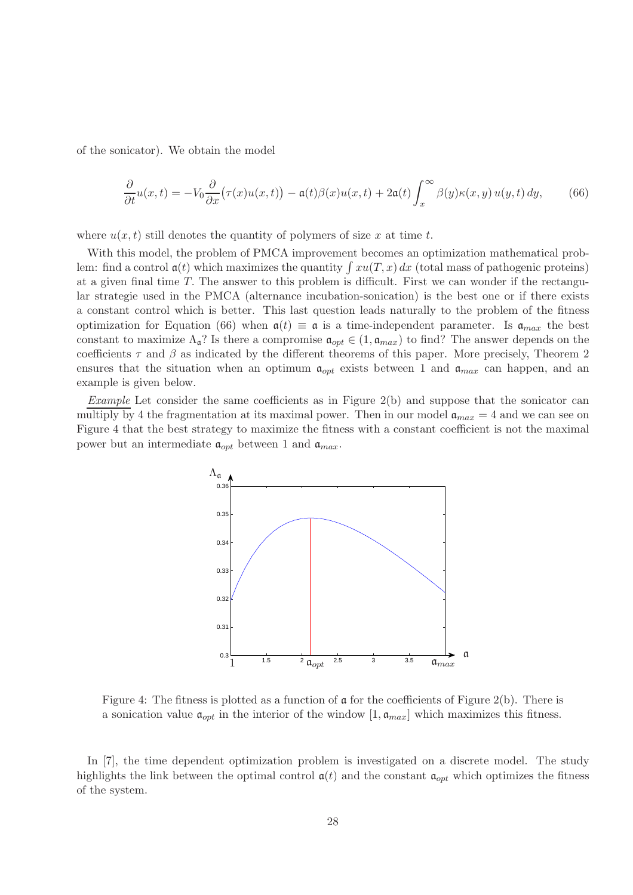of the sonicator). We obtain the model

$$
\frac{\partial}{\partial t}u(x,t) = -V_0 \frac{\partial}{\partial x}(\tau(x)u(x,t)) - \mathfrak{a}(t)\beta(x)u(x,t) + 2\mathfrak{a}(t)\int_x^\infty \beta(y)\kappa(x,y)u(y,t) dy,\tag{66}
$$

where  $u(x, t)$  still denotes the quantity of polymers of size x at time t.

With this model, the problem of PMCA improvement becomes an optimization mathematical problem: find a control  $a(t)$  which maximizes the quantity  $\int xu(T, x) dx$  (total mass of pathogenic proteins) at a given final time T. The answer to this problem is difficult. First we can wonder if the rectangular strategie used in the PMCA (alternance incubation-sonication) is the best one or if there exists a constant control which is better. This last question leads naturally to the problem of the fitness optimization for Equation (66) when  $a(t) \equiv a$  is a time-independent parameter. Is  $a_{max}$  the best constant to maximize  $\Lambda_{\mathfrak{a}}$ ? Is there a compromise  $\mathfrak{a}_{opt} \in (1, \mathfrak{a}_{max})$  to find? The answer depends on the coefficients  $\tau$  and  $\beta$  as indicated by the different theorems of this paper. More precisely, Theorem 2 ensures that the situation when an optimum  $a_{opt}$  exists between 1 and  $a_{max}$  can happen, and an example is given below.

Example Let consider the same coefficients as in Figure 2(b) and suppose that the sonicator can multiply by 4 the fragmentation at its maximal power. Then in our model  $a_{max} = 4$  and we can see on Figure 4 that the best strategy to maximize the fitness with a constant coefficient is not the maximal power but an intermediate  $a_{opt}$  between 1 and  $a_{max}$ .



Figure 4: The fitness is plotted as a function of  $\alpha$  for the coefficients of Figure 2(b). There is a sonication value  $\mathfrak{a}_{opt}$  in the interior of the window  $[1, \mathfrak{a}_{max}]$  which maximizes this fitness.

In [7], the time dependent optimization problem is investigated on a discrete model. The study highlights the link between the optimal control  $a(t)$  and the constant  $a_{opt}$  which optimizes the fitness of the system.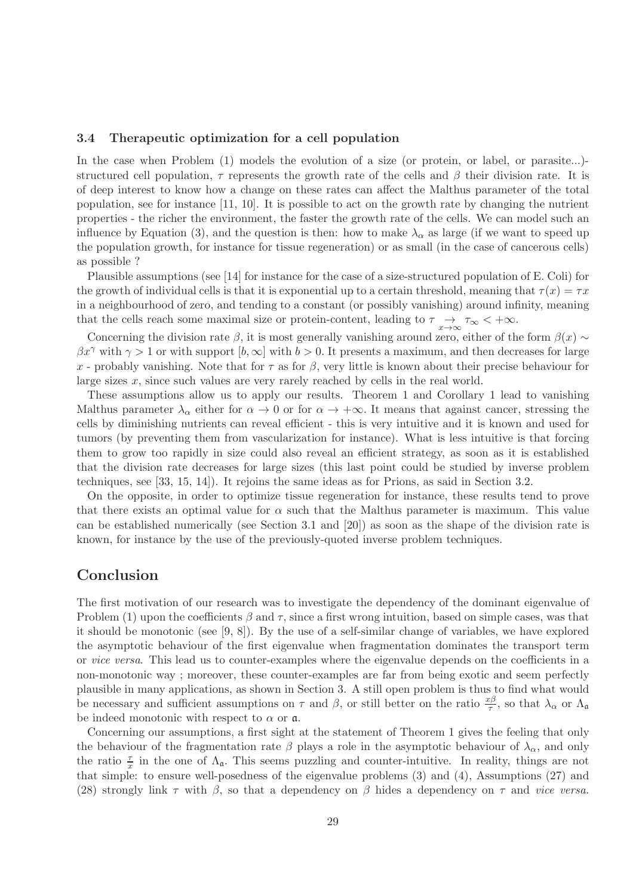#### 3.4 Therapeutic optimization for a cell population

In the case when Problem (1) models the evolution of a size (or protein, or label, or parasite...) structured cell population,  $\tau$  represents the growth rate of the cells and  $\beta$  their division rate. It is of deep interest to know how a change on these rates can affect the Malthus parameter of the total population, see for instance [11, 10]. It is possible to act on the growth rate by changing the nutrient properties - the richer the environment, the faster the growth rate of the cells. We can model such an influence by Equation (3), and the question is then: how to make  $\lambda_{\alpha}$  as large (if we want to speed up the population growth, for instance for tissue regeneration) or as small (in the case of cancerous cells) as possible ?

Plausible assumptions (see [14] for instance for the case of a size-structured population of E. Coli) for the growth of individual cells is that it is exponential up to a certain threshold, meaning that  $\tau(x) = \tau x$ in a neighbourhood of zero, and tending to a constant (or possibly vanishing) around infinity, meaning that the cells reach some maximal size or protein-content, leading to  $\tau \rightarrow \infty$ ,  $\tau_{\infty}$  < + $\infty$ .

Concerning the division rate  $\beta$ , it is most generally vanishing around zero, either of the form  $\beta(x) \sim$  $\beta x^{\gamma}$  with  $\gamma > 1$  or with support  $[b, \infty]$  with  $b > 0$ . It presents a maximum, and then decreases for large x - probably vanishing. Note that for  $\tau$  as for  $\beta$ , very little is known about their precise behaviour for large sizes  $x$ , since such values are very rarely reached by cells in the real world.

These assumptions allow us to apply our results. Theorem 1 and Corollary 1 lead to vanishing Malthus parameter  $\lambda_{\alpha}$  either for  $\alpha \to 0$  or for  $\alpha \to +\infty$ . It means that against cancer, stressing the cells by diminishing nutrients can reveal efficient - this is very intuitive and it is known and used for tumors (by preventing them from vascularization for instance). What is less intuitive is that forcing them to grow too rapidly in size could also reveal an efficient strategy, as soon as it is established that the division rate decreases for large sizes (this last point could be studied by inverse problem techniques, see [33, 15, 14]). It rejoins the same ideas as for Prions, as said in Section 3.2.

On the opposite, in order to optimize tissue regeneration for instance, these results tend to prove that there exists an optimal value for  $\alpha$  such that the Malthus parameter is maximum. This value can be established numerically (see Section 3.1 and [20]) as soon as the shape of the division rate is known, for instance by the use of the previously-quoted inverse problem techniques.

## Conclusion

The first motivation of our research was to investigate the dependency of the dominant eigenvalue of Problem (1) upon the coefficients  $\beta$  and  $\tau$ , since a first wrong intuition, based on simple cases, was that it should be monotonic (see [9, 8]). By the use of a self-similar change of variables, we have explored the asymptotic behaviour of the first eigenvalue when fragmentation dominates the transport term or vice versa. This lead us to counter-examples where the eigenvalue depends on the coefficients in a non-monotonic way ; moreover, these counter-examples are far from being exotic and seem perfectly plausible in many applications, as shown in Section 3. A still open problem is thus to find what would be necessary and sufficient assumptions on  $\tau$  and  $\beta$ , or still better on the ratio  $\frac{x\beta}{\tau}$ , so that  $\lambda_{\alpha}$  or  $\Lambda_{\mathfrak{a}}$ be indeed monotonic with respect to  $\alpha$  or  $\alpha$ .

Concerning our assumptions, a first sight at the statement of Theorem 1 gives the feeling that only the behaviour of the fragmentation rate  $\beta$  plays a role in the asymptotic behaviour of  $\lambda_{\alpha}$ , and only the ratio  $\frac{\tau}{x}$  in the one of  $\Lambda_{\mathfrak{a}}$ . This seems puzzling and counter-intuitive. In reality, things are not that simple: to ensure well-posedness of the eigenvalue problems (3) and (4), Assumptions (27) and (28) strongly link  $\tau$  with  $\beta$ , so that a dependency on  $\beta$  hides a dependency on  $\tau$  and *vice versa*.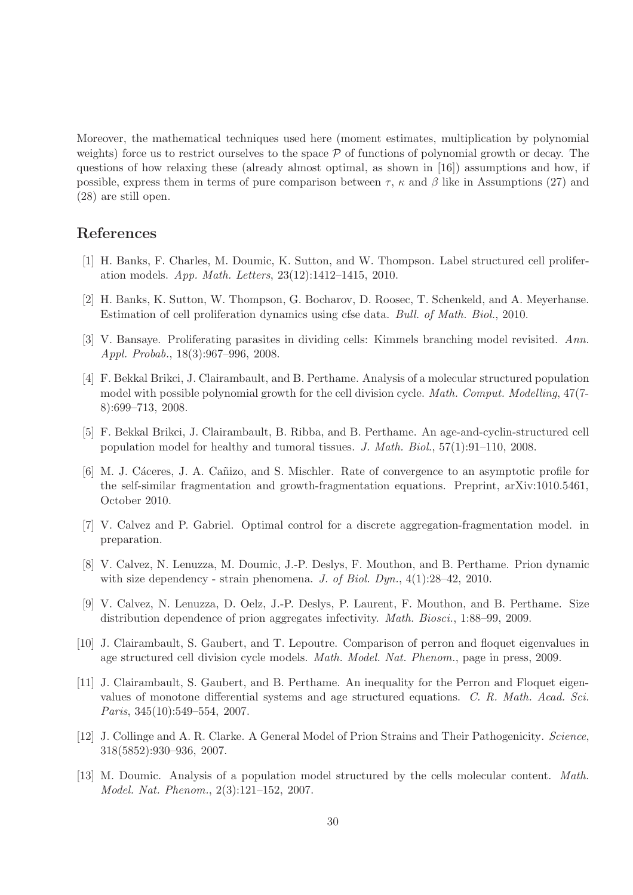Moreover, the mathematical techniques used here (moment estimates, multiplication by polynomial weights) force us to restrict ourselves to the space  $P$  of functions of polynomial growth or decay. The questions of how relaxing these (already almost optimal, as shown in [16]) assumptions and how, if possible, express them in terms of pure comparison between  $\tau$ ,  $\kappa$  and  $\beta$  like in Assumptions (27) and (28) are still open.

## References

- [1] H. Banks, F. Charles, M. Doumic, K. Sutton, and W. Thompson. Label structured cell proliferation models. App. Math. Letters, 23(12):1412–1415, 2010.
- [2] H. Banks, K. Sutton, W. Thompson, G. Bocharov, D. Roosec, T. Schenkeld, and A. Meyerhanse. Estimation of cell proliferation dynamics using cfse data. Bull. of Math. Biol., 2010.
- [3] V. Bansaye. Proliferating parasites in dividing cells: Kimmels branching model revisited. Ann. Appl. Probab., 18(3):967–996, 2008.
- [4] F. Bekkal Brikci, J. Clairambault, and B. Perthame. Analysis of a molecular structured population model with possible polynomial growth for the cell division cycle. *Math. Comput. Modelling*, 47(7-8):699–713, 2008.
- [5] F. Bekkal Brikci, J. Clairambault, B. Ribba, and B. Perthame. An age-and-cyclin-structured cell population model for healthy and tumoral tissues. J. Math. Biol.,  $57(1):91-110$ , 2008.
- [6] M. J. Cáceres, J. A. Cañizo, and S. Mischler. Rate of convergence to an asymptotic profile for the self-similar fragmentation and growth-fragmentation equations. Preprint, arXiv:1010.5461, October 2010.
- [7] V. Calvez and P. Gabriel. Optimal control for a discrete aggregation-fragmentation model. in preparation.
- [8] V. Calvez, N. Lenuzza, M. Doumic, J.-P. Deslys, F. Mouthon, and B. Perthame. Prion dynamic with size dependency - strain phenomena. J. of Biol. Dyn.,  $4(1):28-42$ , 2010.
- [9] V. Calvez, N. Lenuzza, D. Oelz, J.-P. Deslys, P. Laurent, F. Mouthon, and B. Perthame. Size distribution dependence of prion aggregates infectivity. Math. Biosci., 1:88–99, 2009.
- [10] J. Clairambault, S. Gaubert, and T. Lepoutre. Comparison of perron and floquet eigenvalues in age structured cell division cycle models. Math. Model. Nat. Phenom., page in press, 2009.
- [11] J. Clairambault, S. Gaubert, and B. Perthame. An inequality for the Perron and Floquet eigenvalues of monotone differential systems and age structured equations. C. R. Math. Acad. Sci. Paris, 345(10):549–554, 2007.
- [12] J. Collinge and A. R. Clarke. A General Model of Prion Strains and Their Pathogenicity. Science, 318(5852):930–936, 2007.
- [13] M. Doumic. Analysis of a population model structured by the cells molecular content. Math. Model. Nat. Phenom., 2(3):121–152, 2007.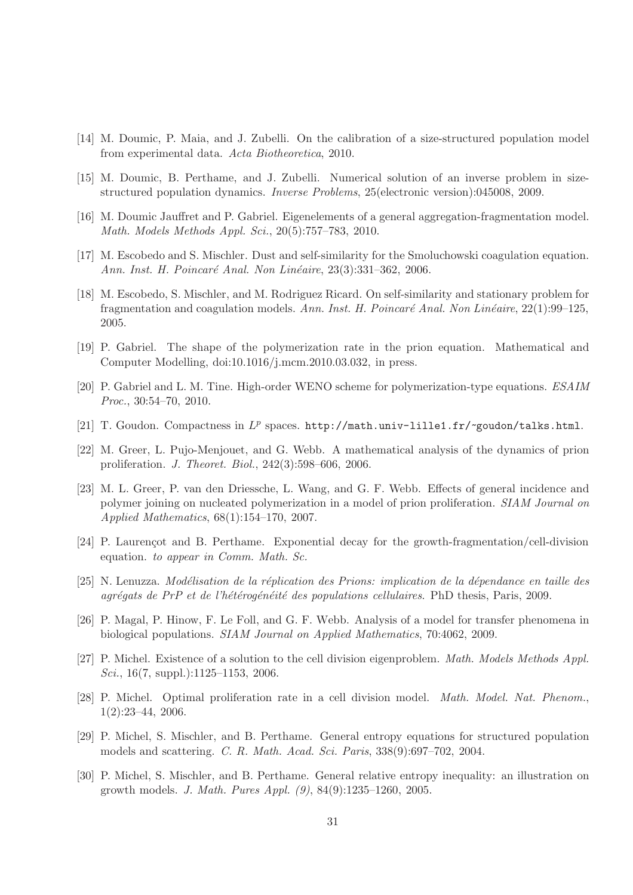- [14] M. Doumic, P. Maia, and J. Zubelli. On the calibration of a size-structured population model from experimental data. Acta Biotheoretica, 2010.
- [15] M. Doumic, B. Perthame, and J. Zubelli. Numerical solution of an inverse problem in sizestructured population dynamics. Inverse Problems, 25(electronic version):045008, 2009.
- [16] M. Doumic Jauffret and P. Gabriel. Eigenelements of a general aggregation-fragmentation model. Math. Models Methods Appl. Sci., 20(5):757–783, 2010.
- [17] M. Escobedo and S. Mischler. Dust and self-similarity for the Smoluchowski coagulation equation. Ann. Inst. H. Poincaré Anal. Non Linéaire, 23(3):331–362, 2006.
- [18] M. Escobedo, S. Mischler, and M. Rodriguez Ricard. On self-similarity and stationary problem for fragmentation and coagulation models. Ann. Inst. H. Poincaré Anal. Non Linéaire,  $22(1):99-125$ , 2005.
- [19] P. Gabriel. The shape of the polymerization rate in the prion equation. Mathematical and Computer Modelling, doi:10.1016/j.mcm.2010.03.032, in press.
- [20] P. Gabriel and L. M. Tine. High-order WENO scheme for polymerization-type equations. ESAIM Proc., 30:54–70, 2010.
- [21] T. Goudon. Compactness in  $L^p$  spaces.  ${\tt http://math.univ-lilled.fr/~goudon/talks.html.}$
- [22] M. Greer, L. Pujo-Menjouet, and G. Webb. A mathematical analysis of the dynamics of prion proliferation. J. Theoret. Biol., 242(3):598–606, 2006.
- [23] M. L. Greer, P. van den Driessche, L. Wang, and G. F. Webb. Effects of general incidence and polymer joining on nucleated polymerization in a model of prion proliferation. SIAM Journal on Applied Mathematics, 68(1):154–170, 2007.
- [24] P. Laurencot and B. Perthame. Exponential decay for the growth-fragmentation/cell-division equation. to appear in Comm. Math. Sc.
- [25] N. Lenuzza. Modélisation de la réplication des Prions: implication de la dépendance en taille des  $aqr\acute{e}qats$  de PrP et de l'hétérogénéité des populations cellulaires. PhD thesis, Paris, 2009.
- [26] P. Magal, P. Hinow, F. Le Foll, and G. F. Webb. Analysis of a model for transfer phenomena in biological populations. SIAM Journal on Applied Mathematics, 70:4062, 2009.
- [27] P. Michel. Existence of a solution to the cell division eigenproblem. *Math. Models Methods Appl.* Sci.,  $16(7, \text{suppl.})$ :1125–1153, 2006.
- [28] P. Michel. Optimal proliferation rate in a cell division model. Math. Model. Nat. Phenom., 1(2):23–44, 2006.
- [29] P. Michel, S. Mischler, and B. Perthame. General entropy equations for structured population models and scattering. C. R. Math. Acad. Sci. Paris, 338(9):697–702, 2004.
- [30] P. Michel, S. Mischler, and B. Perthame. General relative entropy inequality: an illustration on growth models. J. Math. Pures Appl. (9), 84(9):1235–1260, 2005.